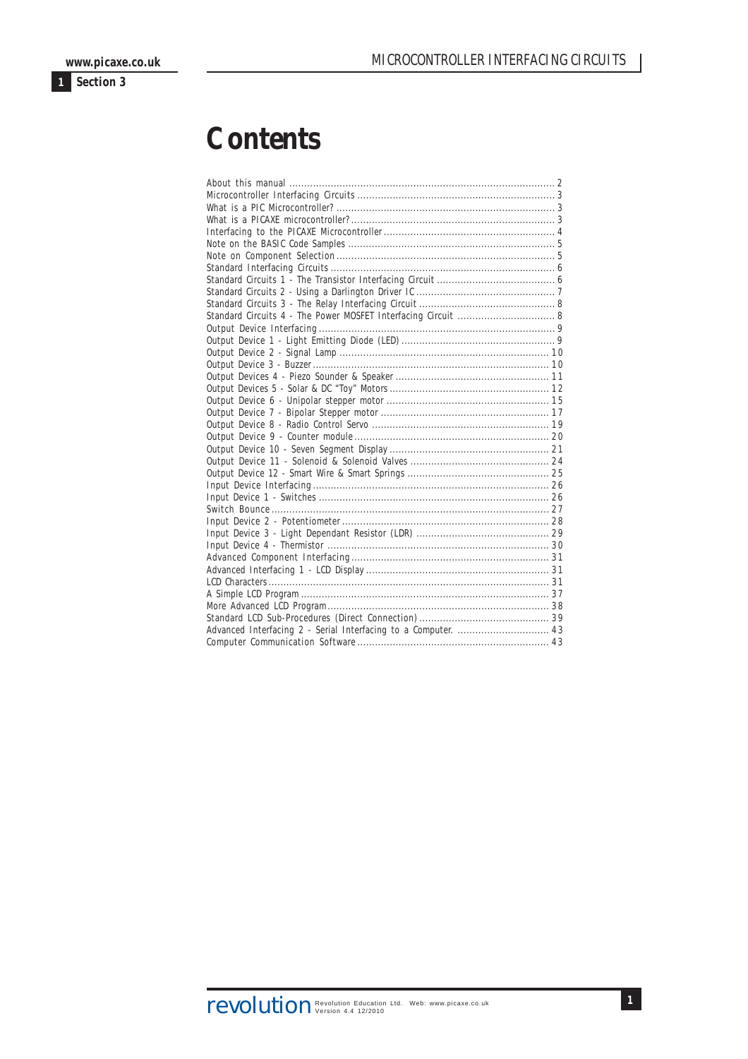# **Contents**

**1**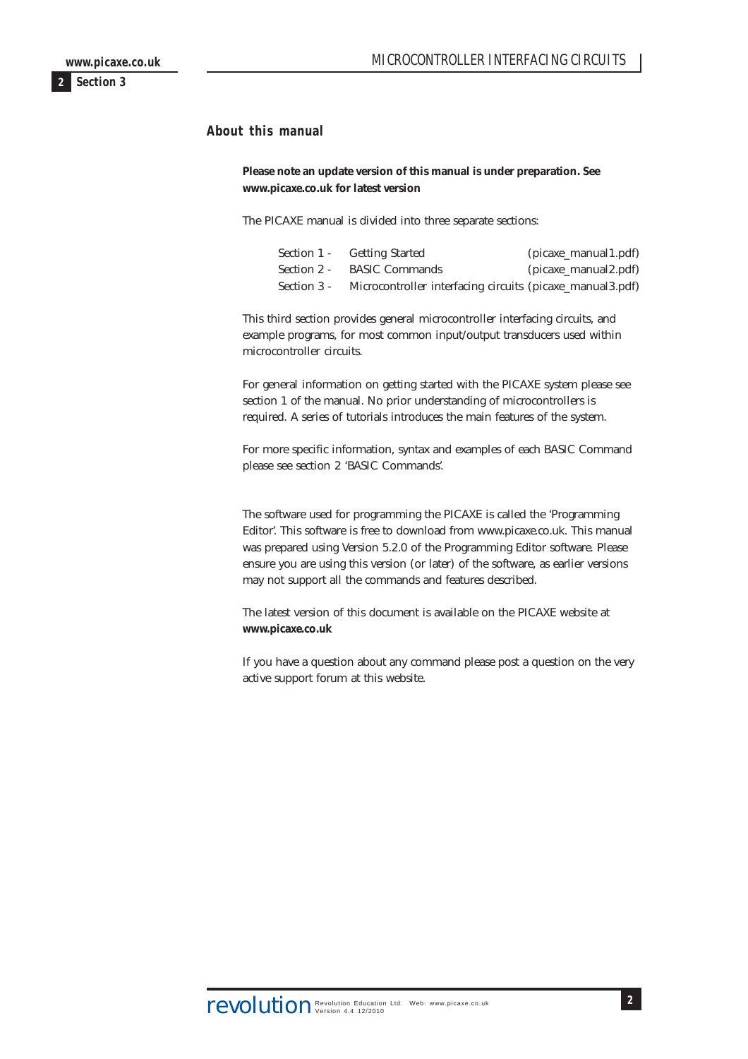<span id="page-1-0"></span>**About this manual**

**Please note an update version of this manual is under preparation. See www.picaxe.co.uk for latest version**

The PICAXE manual is divided into three separate sections:

|             | Section 1 - Getting Started                               | $(picaxe_{manual1.pdf)$ |
|-------------|-----------------------------------------------------------|-------------------------|
| Section 2 - | <b>BASIC Commands</b>                                     | $(picaxe_manual2.pdf)$  |
| Section 3 - | Microcontroller interfacing circuits (picaxe_manual3.pdf) |                         |

This third section provides general microcontroller interfacing circuits, and example programs, for most common input/output transducers used within microcontroller circuits.

For general information on getting started with the PICAXE system please see section 1 of the manual. No prior understanding of microcontrollers is required. A series of tutorials introduces the main features of the system.

For more specific information, syntax and examples of each BASIC Command please see section 2 'BASIC Commands'.

The software used for programming the PICAXE is called the 'Programming Editor'. This software is free to download from www.picaxe.co.uk. This manual was prepared using Version 5.2.0 of the Programming Editor software. Please ensure you are using this version (or later) of the software, as earlier versions may not support all the commands and features described.

The latest version of this document is available on the PICAXE website at **www.picaxe.co.uk**

If you have a question about any command please post a question on the very active support forum at this website.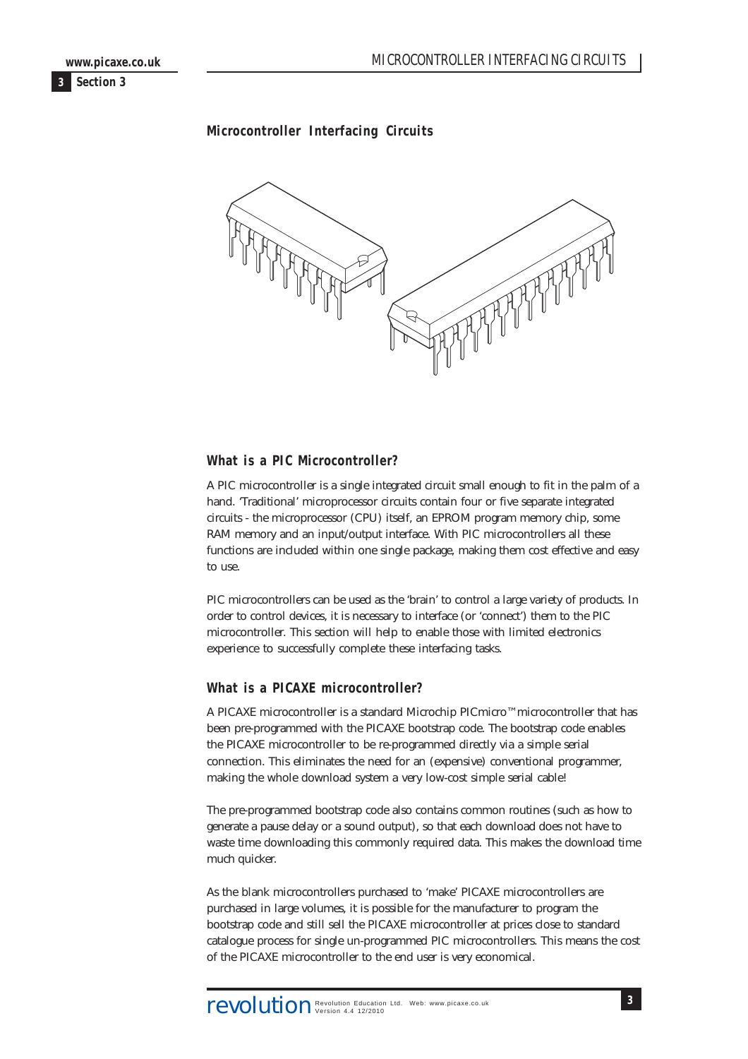<span id="page-2-0"></span>

# **Microcontroller Interfacing Circuits**



### **What is a PIC Microcontroller?**

A PIC microcontroller is a single integrated circuit small enough to fit in the palm of a hand. 'Traditional' microprocessor circuits contain four or five separate integrated circuits - the microprocessor (CPU) itself, an EPROM program memory chip, some RAM memory and an input/output interface. With PIC microcontrollers all these functions are included within one single package, making them cost effective and easy to use.

PIC microcontrollers can be used as the 'brain' to control a large variety of products. In order to control devices, it is necessary to interface (or 'connect') them to the PIC microcontroller. This section will help to enable those with limited electronics experience to successfully complete these interfacing tasks.

#### **What is a PICAXE microcontroller?**

A PICAXE microcontroller is a standard Microchip PICmicro™ microcontroller that has been pre-programmed with the PICAXE bootstrap code. The bootstrap code enables the PICAXE microcontroller to be re-programmed directly via a simple serial connection. This eliminates the need for an (expensive) conventional programmer, making the whole download system a very low-cost simple serial cable!

The pre-programmed bootstrap code also contains common routines (such as how to generate a pause delay or a sound output), so that each download does not have to waste time downloading this commonly required data. This makes the download time much quicker.

As the blank microcontrollers purchased to 'make' PICAXE microcontrollers are purchased in large volumes, it is possible for the manufacturer to program the bootstrap code and still sell the PICAXE microcontroller at prices close to standard catalogue process for single un-programmed PIC microcontrollers. This means the cost of the PICAXE microcontroller to the end user is very economical.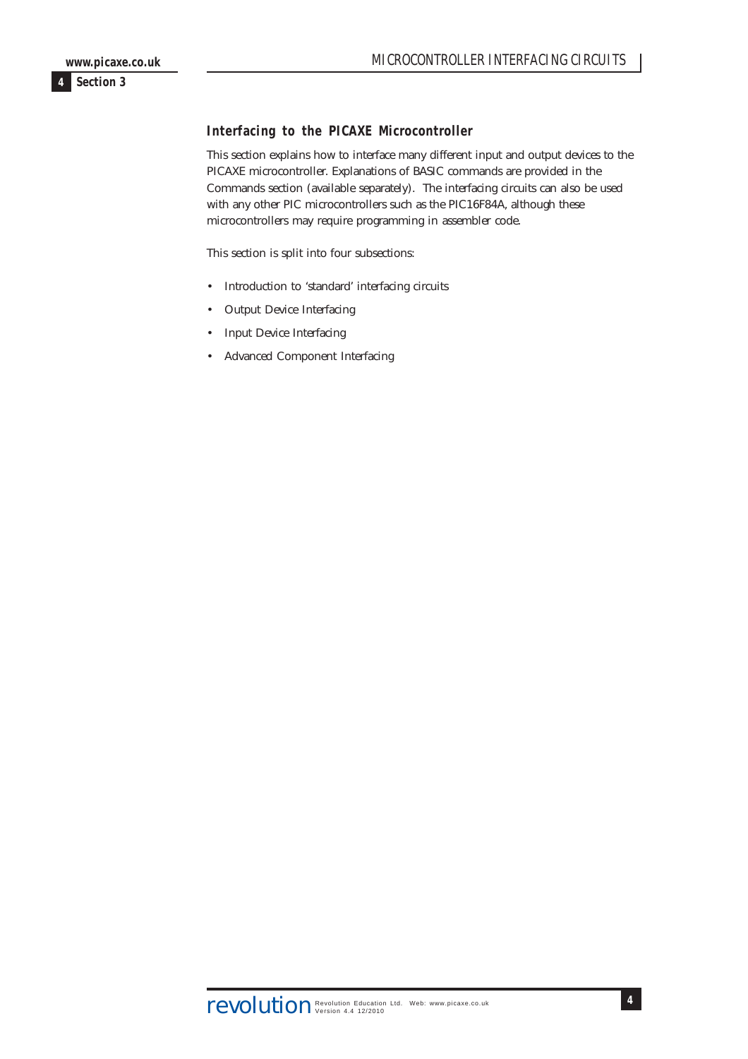# <span id="page-3-0"></span>**Interfacing to the PICAXE Microcontroller**

This section explains how to interface many different input and output devices to the PICAXE microcontroller. Explanations of BASIC commands are provided in the Commands section (available separately). The interfacing circuits can also be used with any other PIC microcontrollers such as the PIC16F84A, although these microcontrollers may require programming in assembler code.

This section is split into four subsections:

- Introduction to 'standard' interfacing circuits
- Output Device Interfacing
- Input Device Interfacing
- Advanced Component Interfacing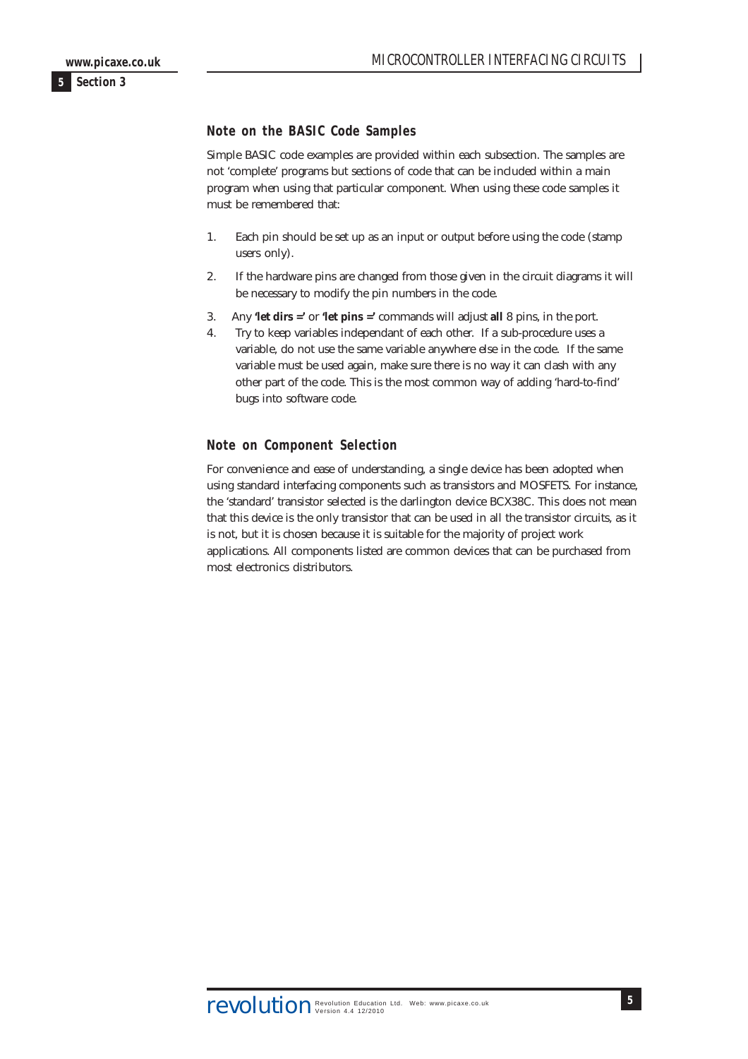### <span id="page-4-0"></span>**Note on the BASIC Code Samples**

Simple BASIC code examples are provided within each subsection. The samples are not 'complete' programs but sections of code that can be included within a main program when using that particular component. When using these code samples it must be remembered that:

- 1. Each pin should be set up as an input or output before using the code (stamp users only).
- 2. If the hardware pins are changed from those given in the circuit diagrams it will be necessary to modify the pin numbers in the code.
- 3. Any **'let dirs ='** or **'let pins ='** commands will adjust **all** 8 pins, in the port.
- 4. Try to keep variables independant of each other. If a sub-procedure uses a variable, do not use the same variable anywhere else in the code. If the same variable must be used again, make sure there is no way it can clash with any other part of the code. This is the most common way of adding 'hard-to-find' bugs into software code.

# **Note on Component Selection**

For convenience and ease of understanding, a single device has been adopted when using standard interfacing components such as transistors and MOSFETS. For instance, the 'standard' transistor selected is the darlington device BCX38C. This does not mean that this device is the only transistor that can be used in all the transistor circuits, as it is not, but it is chosen because it is suitable for the majority of project work applications. All components listed are common devices that can be purchased from most electronics distributors.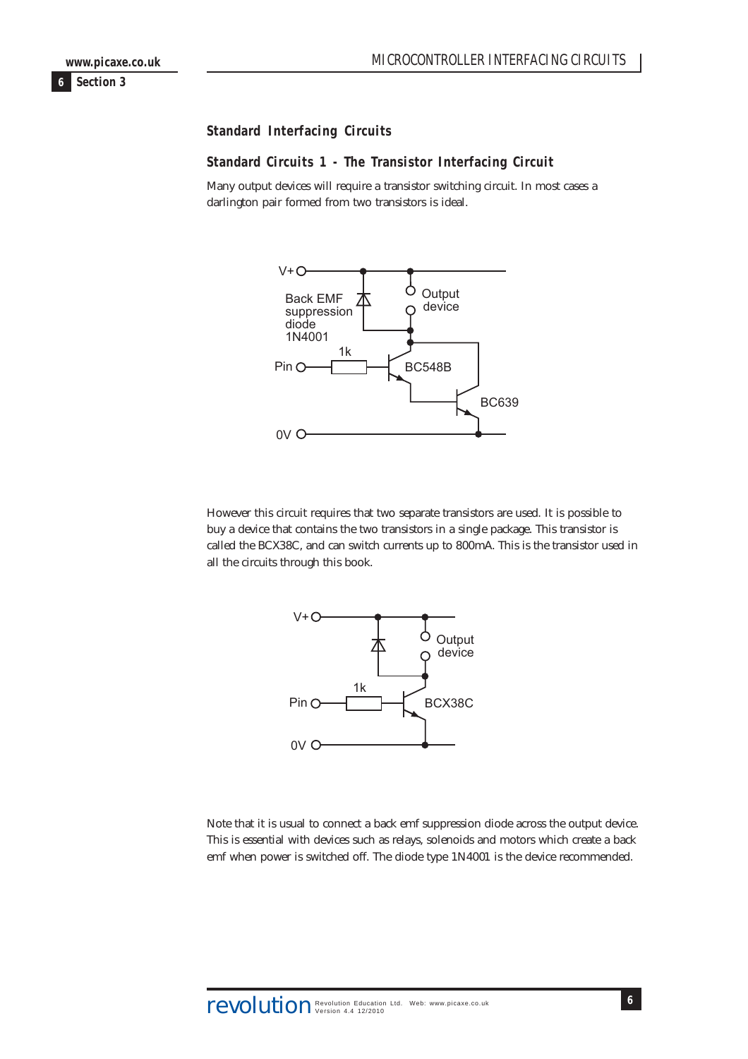<span id="page-5-0"></span>**Standard Interfacing Circuits**

#### **Standard Circuits 1 - The Transistor Interfacing Circuit**

Many output devices will require a transistor switching circuit. In most cases a darlington pair formed from two transistors is ideal.



However this circuit requires that two separate transistors are used. It is possible to buy a device that contains the two transistors in a single package. This transistor is called the BCX38C, and can switch currents up to 800mA. This is the transistor used in all the circuits through this book.



Note that it is usual to connect a back emf suppression diode across the output device. This is essential with devices such as relays, solenoids and motors which create a back emf when power is switched off. The diode type 1N4001 is the device recommended.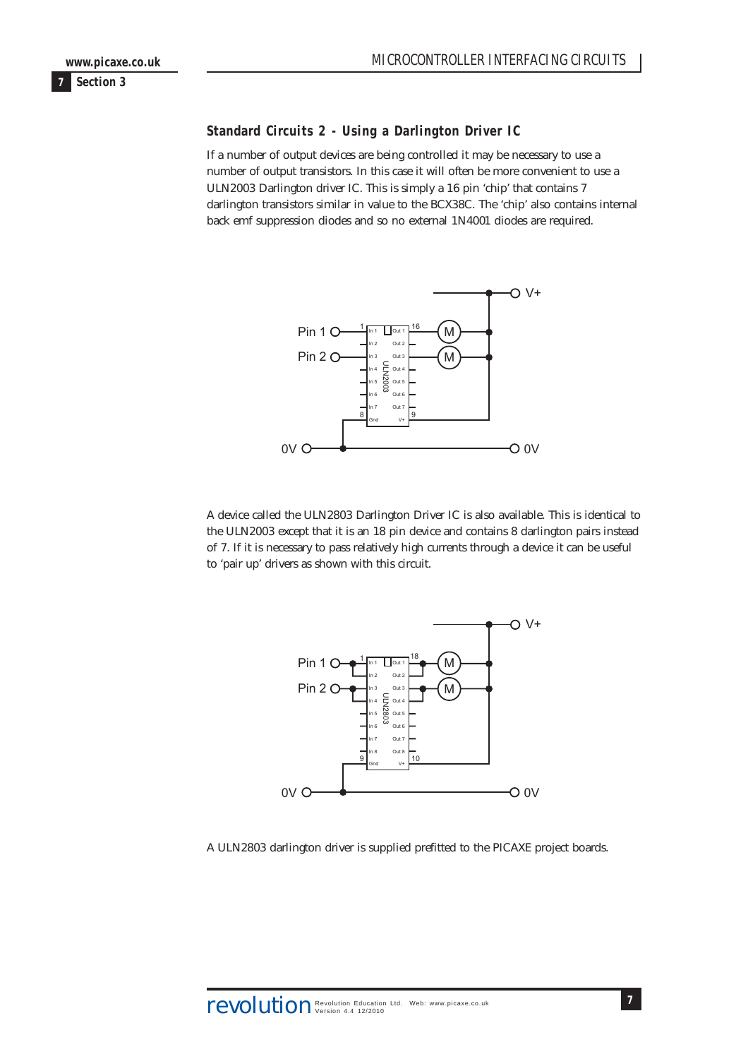#### <span id="page-6-0"></span>**Standard Circuits 2 - Using a Darlington Driver IC**

If a number of output devices are being controlled it may be necessary to use a number of output transistors. In this case it will often be more convenient to use a ULN2003 Darlington driver IC. This is simply a 16 pin 'chip' that contains 7 darlington transistors similar in value to the BCX38C. The 'chip' also contains internal back emf suppression diodes and so no external 1N4001 diodes are required.



A device called the ULN2803 Darlington Driver IC is also available. This is identical to the ULN2003 except that it is an 18 pin device and contains 8 darlington pairs instead of 7. If it is necessary to pass relatively high currents through a device it can be useful to 'pair up' drivers as shown with this circuit.



A ULN2803 darlington driver is supplied prefitted to the PICAXE project boards.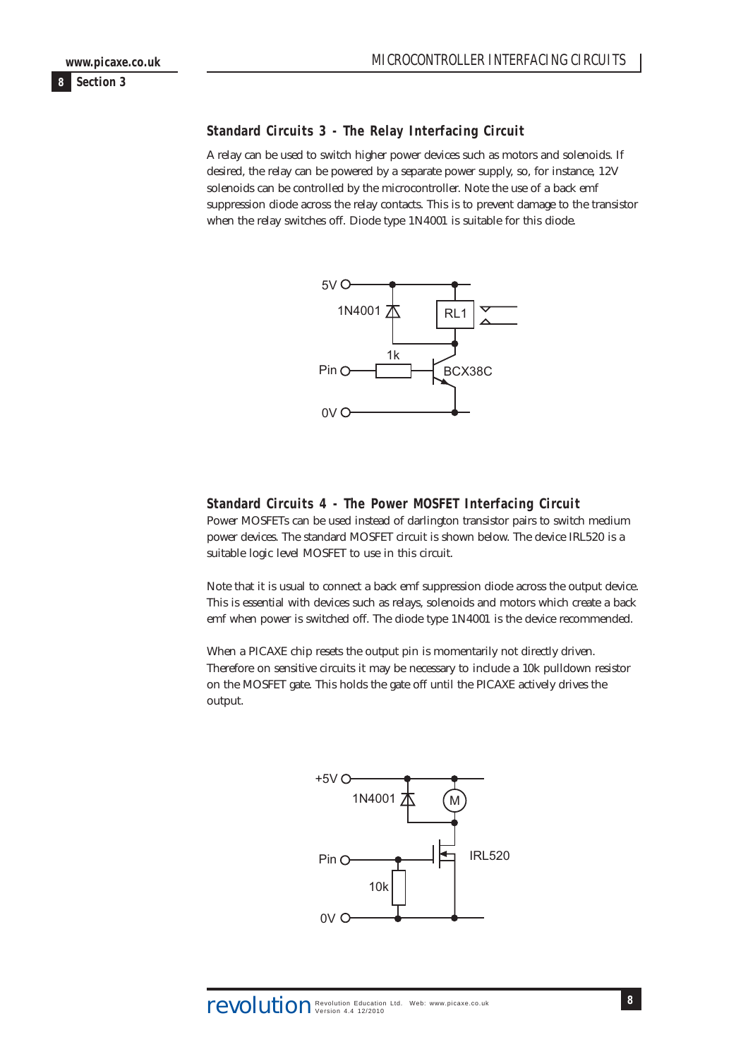#### <span id="page-7-0"></span>**Standard Circuits 3 - The Relay Interfacing Circuit**

A relay can be used to switch higher power devices such as motors and solenoids. If desired, the relay can be powered by a separate power supply, so, for instance, 12V solenoids can be controlled by the microcontroller. Note the use of a back emf suppression diode across the relay contacts. This is to prevent damage to the transistor when the relay switches off. Diode type 1N4001 is suitable for this diode.



# **Standard Circuits 4 - The Power MOSFET Interfacing Circuit**

Power MOSFETs can be used instead of darlington transistor pairs to switch medium power devices. The standard MOSFET circuit is shown below. The device IRL520 is a suitable logic level MOSFET to use in this circuit.

Note that it is usual to connect a back emf suppression diode across the output device. This is essential with devices such as relays, solenoids and motors which create a back emf when power is switched off. The diode type 1N4001 is the device recommended.

When a PICAXE chip resets the output pin is momentarily not directly driven. Therefore on sensitive circuits it may be necessary to include a 10k pulldown resistor on the MOSFET gate. This holds the gate off until the PICAXE actively drives the output.

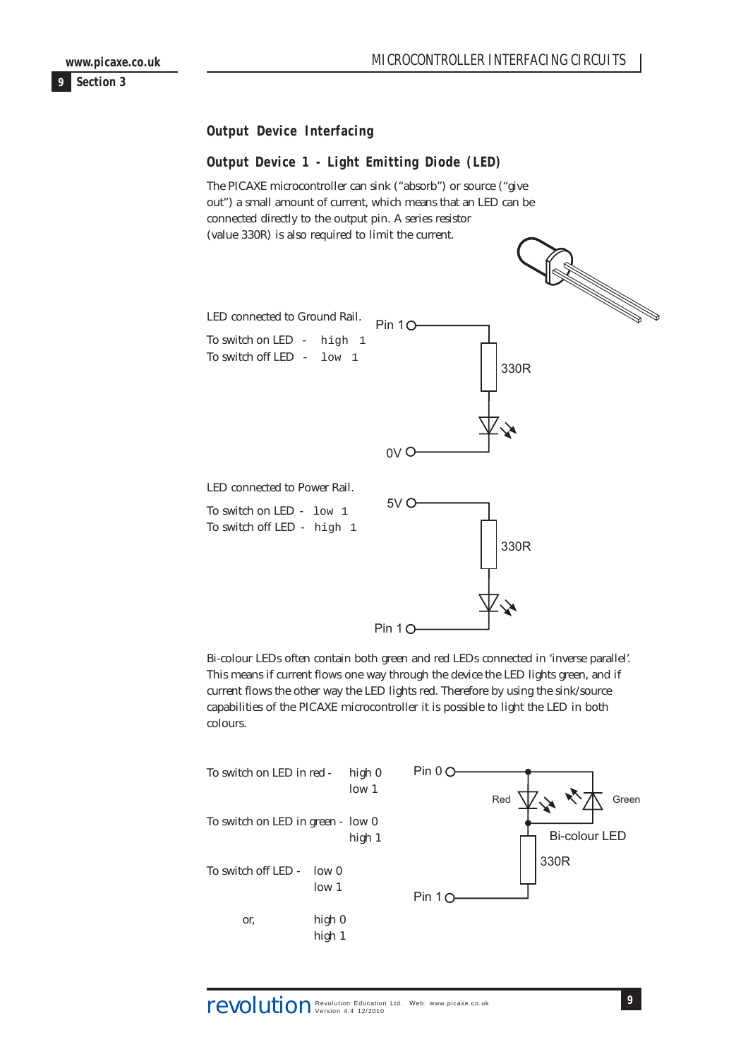<span id="page-8-0"></span>**Output Device Interfacing**

# **Output Device 1 - Light Emitting Diode (LED)**

The PICAXE microcontroller can sink ("absorb") or source ("give out") a small amount of current, which means that an LED can be connected directly to the output pin. A series resistor (value 330R) is also required to limit the current.



Bi-colour LEDs often contain both green and red LEDs connected in 'inverse parallel'. This means if current flows one way through the device the LED lights green, and if current flows the other way the LED lights red. Therefore by using the sink/source capabilities of the PICAXE microcontroller it is possible to light the LED in both colours.

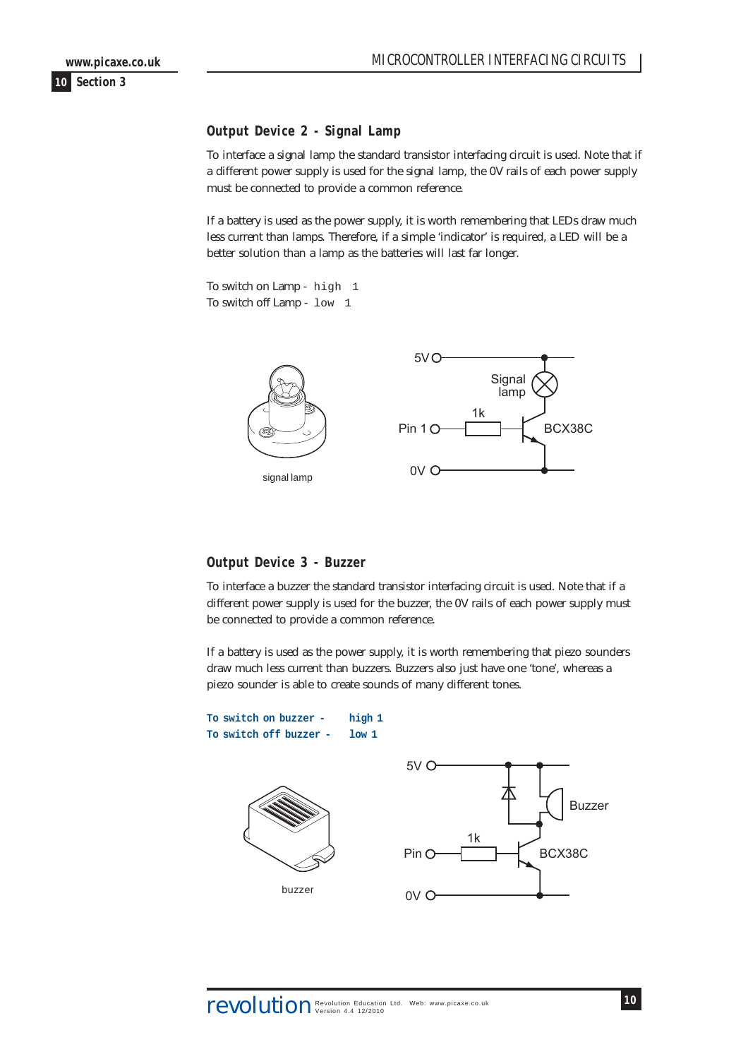<span id="page-9-0"></span>**www.picaxe.co.uk**

**10 Section 3**

## **Output Device 2 - Signal Lamp**

To interface a signal lamp the standard transistor interfacing circuit is used. Note that if a different power supply is used for the signal lamp, the 0V rails of each power supply must be connected to provide a common reference.

If a battery is used as the power supply, it is worth remembering that LEDs draw much less current than lamps. Therefore, if a simple 'indicator' is required, a LED will be a better solution than a lamp as the batteries will last far longer.

To switch on Lamp - high 1 To switch off Lamp - low 1



#### **Output Device 3 - Buzzer**

To interface a buzzer the standard transistor interfacing circuit is used. Note that if a different power supply is used for the buzzer, the 0V rails of each power supply must be connected to provide a common reference.

If a battery is used as the power supply, it is worth remembering that piezo sounders draw much less current than buzzers. Buzzers also just have one 'tone', whereas a piezo sounder is able to create sounds of many different tones.

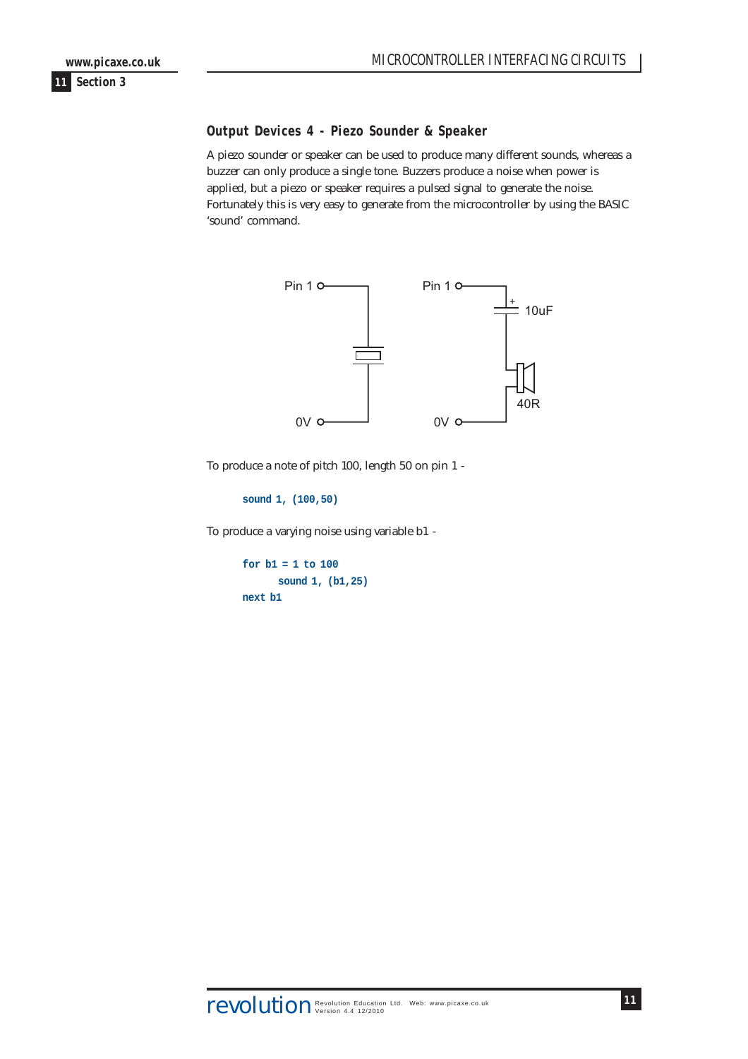### <span id="page-10-0"></span>**Output Devices 4 - Piezo Sounder & Speaker**

A piezo sounder or speaker can be used to produce many different sounds, whereas a buzzer can only produce a single tone. Buzzers produce a noise when power is applied, but a piezo or speaker requires a pulsed signal to generate the noise. Fortunately this is very easy to generate from the microcontroller by using the BASIC 'sound' command.



To produce a note of pitch 100, length 50 on pin 1 -

**sound 1, (100,50)**

To produce a varying noise using variable b1 -

```
for b1 = 1 to 100
      sound 1, (b1,25)
next b1
```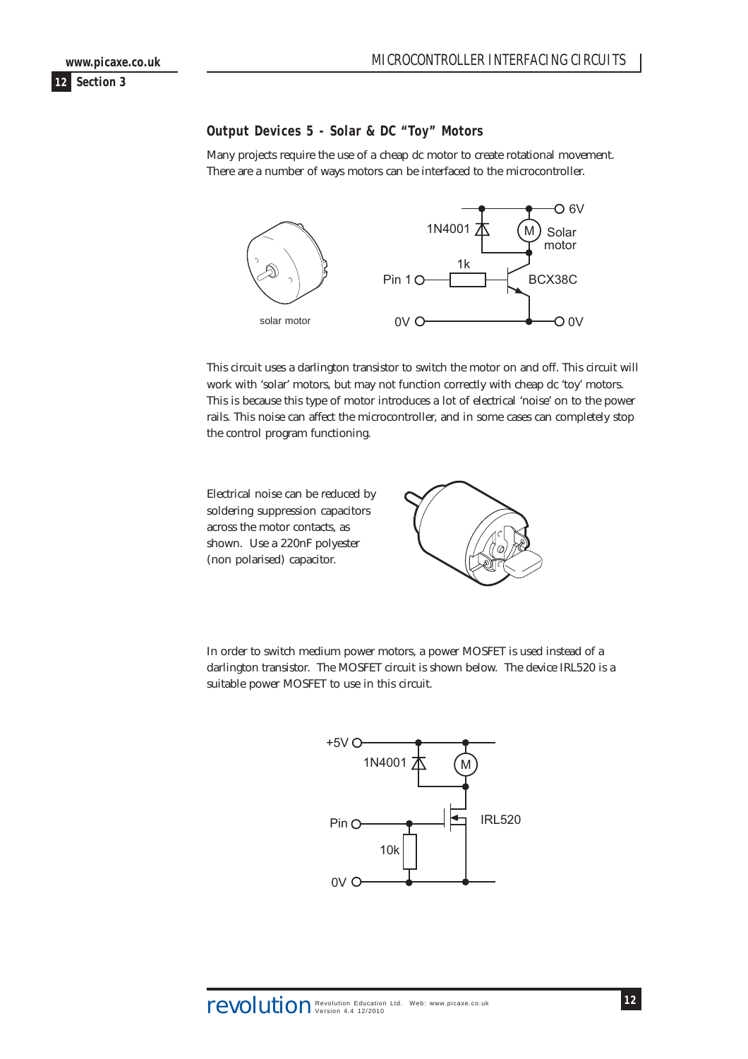# <span id="page-11-0"></span>**Output Devices 5 - Solar & DC "Toy" Motors**

Many projects require the use of a cheap dc motor to create rotational movement. There are a number of ways motors can be interfaced to the microcontroller.



This circuit uses a darlington transistor to switch the motor on and off. This circuit will work with 'solar' motors, but may not function correctly with cheap dc 'toy' motors. This is because this type of motor introduces a lot of electrical 'noise' on to the power rails. This noise can affect the microcontroller, and in some cases can completely stop the control program functioning.

Electrical noise can be reduced by soldering suppression capacitors across the motor contacts, as shown. Use a 220nF polyester (non polarised) capacitor.



In order to switch medium power motors, a power MOSFET is used instead of a darlington transistor. The MOSFET circuit is shown below. The device IRL520 is a suitable power MOSFET to use in this circuit.

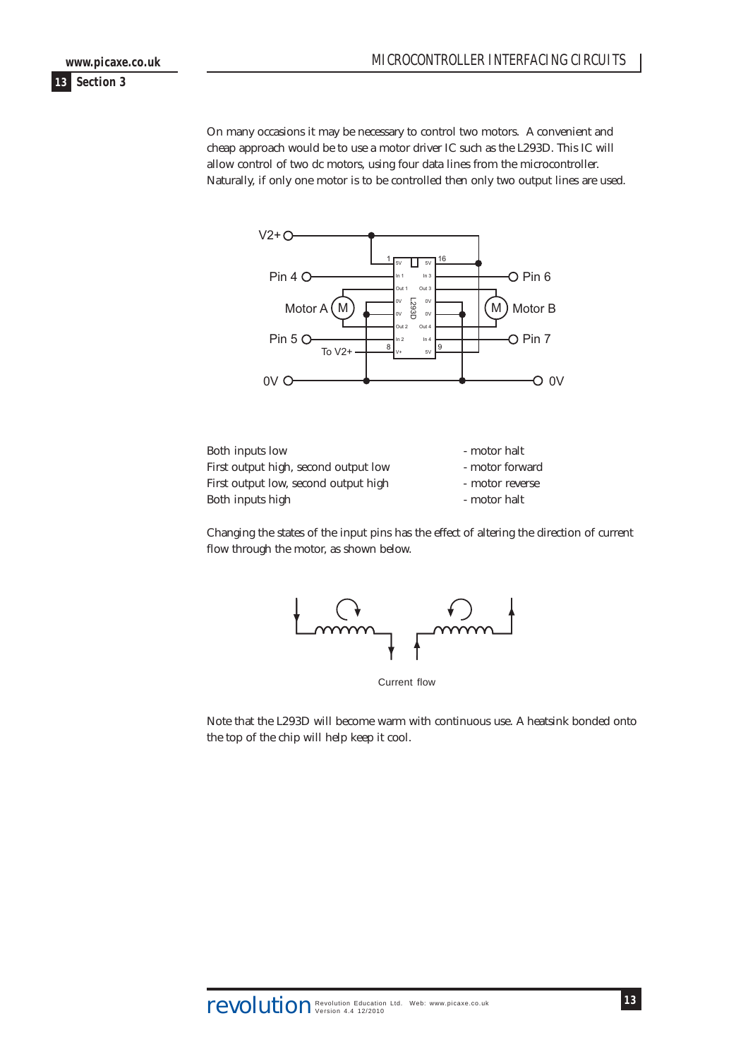**www.picaxe.co.uk**

#### **13 Section 3**

On many occasions it may be necessary to control two motors. A convenient and cheap approach would be to use a motor driver IC such as the L293D. This IC will allow control of two dc motors, using four data lines from the microcontroller. Naturally, if only one motor is to be controlled then only two output lines are used.



| Both inputs low                      | - motor halt    |
|--------------------------------------|-----------------|
| First output high, second output low | - motor forward |
| First output low, second output high | - motor reverse |
| Both inputs high                     | - motor halt    |

Changing the states of the input pins has the effect of altering the direction of current flow through the motor, as shown below.



Current flow

Note that the L293D will become warm with continuous use. A heatsink bonded onto the top of the chip will help keep it cool.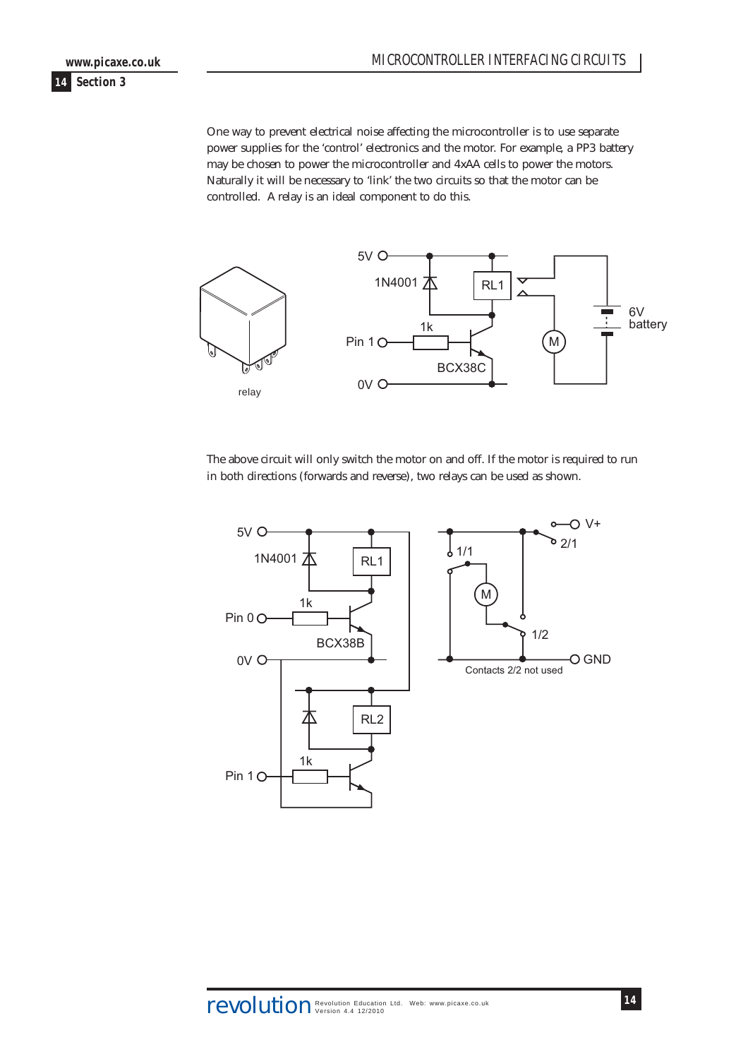One way to prevent electrical noise affecting the microcontroller is to use separate power supplies for the 'control' electronics and the motor. For example, a PP3 battery may be chosen to power the microcontroller and 4xAA cells to power the motors.

**14 Section 3**

**www.picaxe.co.uk**

Naturally it will be necessary to 'link' the two circuits so that the motor can be controlled. A relay is an ideal component to do this.



The above circuit will only switch the motor on and off. If the motor is required to run in both directions (forwards and reverse), two relays can be used as shown.

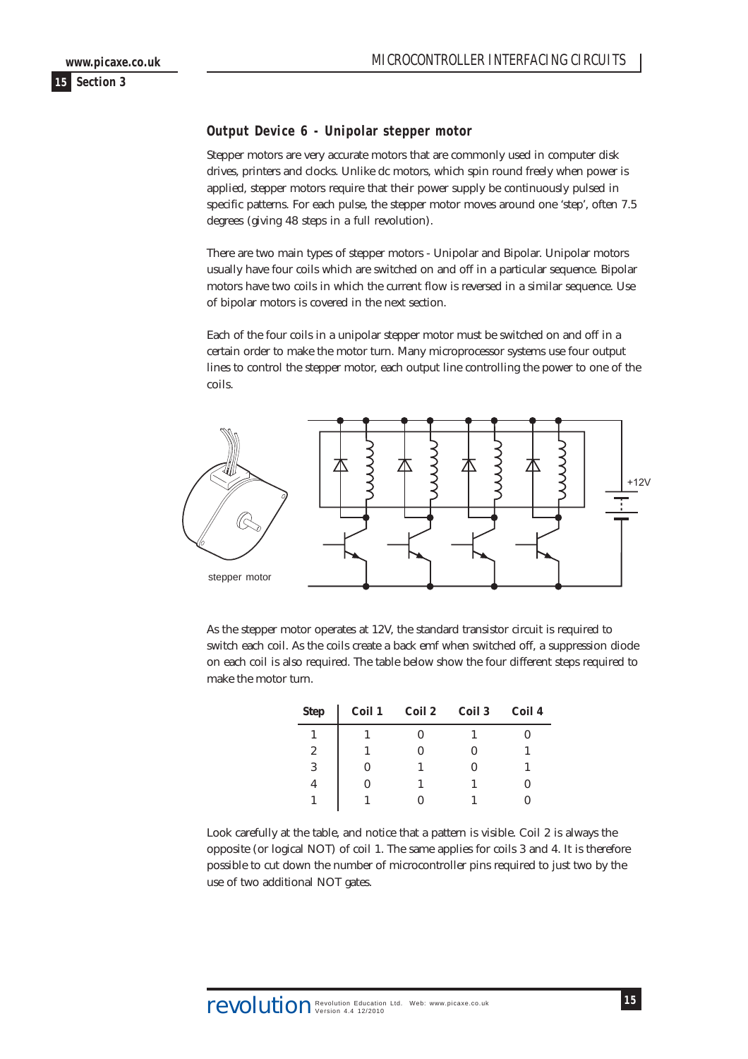### <span id="page-14-0"></span>**Output Device 6 - Unipolar stepper motor**

Stepper motors are very accurate motors that are commonly used in computer disk drives, printers and clocks. Unlike dc motors, which spin round freely when power is applied, stepper motors require that their power supply be continuously pulsed in specific patterns. For each pulse, the stepper motor moves around one 'step', often 7.5 degrees (giving 48 steps in a full revolution).

There are two main types of stepper motors - Unipolar and Bipolar. Unipolar motors usually have four coils which are switched on and off in a particular sequence. Bipolar motors have two coils in which the current flow is reversed in a similar sequence. Use of bipolar motors is covered in the next section.

Each of the four coils in a unipolar stepper motor must be switched on and off in a certain order to make the motor turn. Many microprocessor systems use four output lines to control the stepper motor, each output line controlling the power to one of the coils.



As the stepper motor operates at 12V, the standard transistor circuit is required to switch each coil. As the coils create a back emf when switched off, a suppression diode on each coil is also required. The table below show the four different steps required to make the motor turn.

| <b>Step</b> | Coil 1 | <b>Coil 2</b> | Coil 3 | Coil 4 |
|-------------|--------|---------------|--------|--------|
|             |        |               |        |        |
| 2           |        |               |        |        |
| 3           |        |               |        |        |
| 4           |        |               |        | 0      |
|             |        |               |        |        |

Look carefully at the table, and notice that a pattern is visible. Coil 2 is always the opposite (or logical NOT) of coil 1. The same applies for coils 3 and 4. It is therefore possible to cut down the number of microcontroller pins required to just two by the use of two additional NOT gates.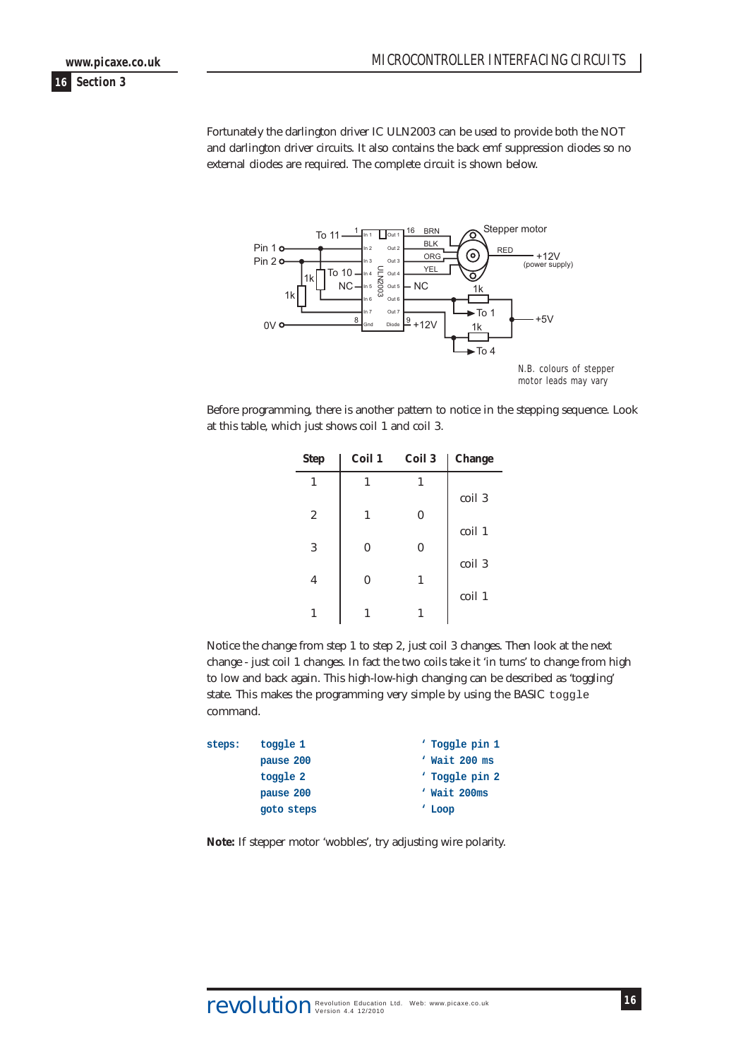**16 Section 3 www.picaxe.co.uk**

> Fortunately the darlington driver IC ULN2003 can be used to provide both the NOT and darlington driver circuits. It also contains the back emf suppression diodes so no external diodes are required. The complete circuit is shown below.



Before programming, there is another pattern to notice in the stepping sequence. Look at this table, which just shows coil 1 and coil 3.

| <b>Step</b>    | Coil 1 | Coil 3 | <b>Change</b> |
|----------------|--------|--------|---------------|
| 1              | 1      | 1      |               |
|                |        |        | coil 3        |
| $\overline{2}$ | 1      | 0      |               |
|                |        |        | coil 1        |
| 3              | 0      | 0      |               |
|                |        |        | coil 3        |
| 4              | 0      | 1      |               |
|                |        |        | coil 1        |
|                |        |        |               |

Notice the change from step 1 to step 2, just coil 3 changes. Then look at the next change - just coil 1 changes. In fact the two coils take it 'in turns' to change from high to low and back again. This high-low-high changing can be described as 'toggling' state. This makes the programming very simple by using the BASIC toggle command.

```
steps: toggle 1 ' Toggle pin 1
     pause 200 ' Wait 200 ms
     toggle 2 ' Toggle pin 2
     pause 200 ' Wait 200ms
     goto steps ' Loop
```
**Note:** If stepper motor 'wobbles', try adjusting wire polarity.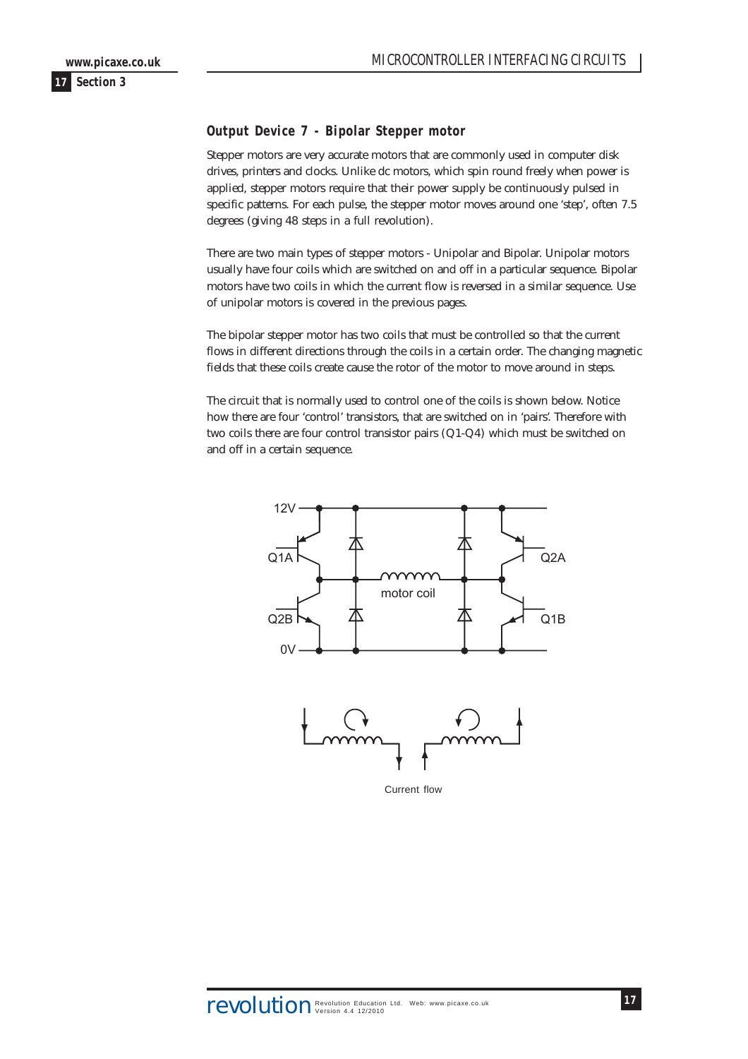# <span id="page-16-0"></span>**Output Device 7 - Bipolar Stepper motor**

Stepper motors are very accurate motors that are commonly used in computer disk drives, printers and clocks. Unlike dc motors, which spin round freely when power is applied, stepper motors require that their power supply be continuously pulsed in specific patterns. For each pulse, the stepper motor moves around one 'step', often 7.5 degrees (giving 48 steps in a full revolution).

There are two main types of stepper motors - Unipolar and Bipolar. Unipolar motors usually have four coils which are switched on and off in a particular sequence. Bipolar motors have two coils in which the current flow is reversed in a similar sequence. Use of unipolar motors is covered in the previous pages.

The bipolar stepper motor has two coils that must be controlled so that the current flows in different directions through the coils in a certain order. The changing magnetic fields that these coils create cause the rotor of the motor to move around in steps.

The circuit that is normally used to control one of the coils is shown below. Notice how there are four 'control' transistors, that are switched on in 'pairs'. Therefore with two coils there are four control transistor pairs (Q1-Q4) which must be switched on and off in a certain sequence.





Current flow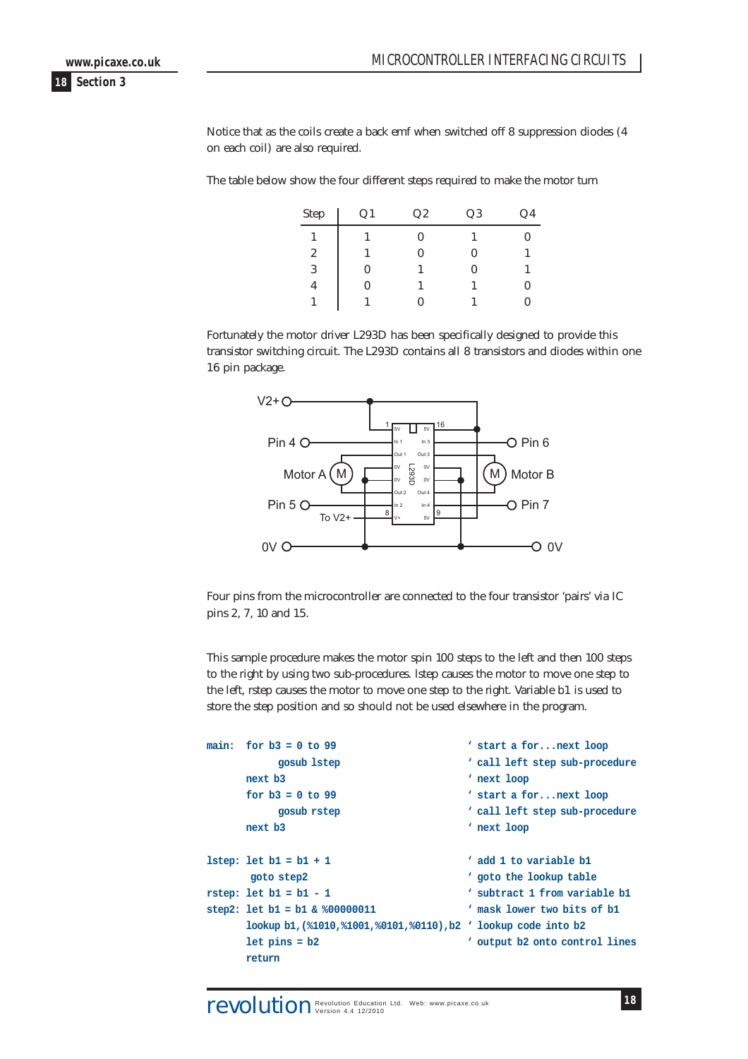**www.picaxe.co.uk**

**18 Section 3**

Notice that as the coils create a back emf when switched off 8 suppression diodes (4 on each coil) are also required.

The table below show the four different steps required to make the motor turn

| Step             | Q <sub>1</sub> | Q2 | Q3       | Q4 |
|------------------|----------------|----|----------|----|
|                  |                | 0  |          |    |
| $\boldsymbol{2}$ |                | 0  | $\theta$ |    |
| 3                | 0              |    | 0        |    |
| 4                | 0              |    |          |    |
|                  |                |    |          |    |

Fortunately the motor driver L293D has been specifically designed to provide this transistor switching circuit. The L293D contains all 8 transistors and diodes within one 16 pin package.



Four pins from the microcontroller are connected to the four transistor 'pairs' via IC pins 2, 7, 10 and 15.

This sample procedure makes the motor spin 100 steps to the left and then 100 steps to the right by using two sub-procedures. lstep causes the motor to move one step to the left, rstep causes the motor to move one step to the right. Variable b1 is used to store the step position and so should not be used elsewhere in the program.

| main: | $for b3 = 0 to 99$                                             | ' start a fornext loop          |
|-------|----------------------------------------------------------------|---------------------------------|
|       | gosub 1step                                                    | ' call left step sub-procedure  |
|       | next b3                                                        | ' next loop                     |
|       | for $b3 = 0$ to 99                                             | ' start a fornext loop          |
|       | gosub rstep                                                    | ' call left step sub-procedure  |
|       | next b3                                                        | ' next loop                     |
|       |                                                                |                                 |
|       | $lstep: let b1 = b1 + 1$                                       | ' add 1 to variable b1          |
|       | goto step2                                                     | ' goto the lookup table         |
|       | $rstop: let b1 = b1 - 1$                                       | ' subtract 1 from variable b1   |
|       | step2: let $b1 = b1$ & $800000011$                             | ' mask lower two bits of bl     |
|       | lookup b1, (%1010,%1001,%0101,%0110), b2 ' lookup code into b2 |                                 |
|       | $let pins = b2$                                                | output b2 onto control lines \, |
|       | return                                                         |                                 |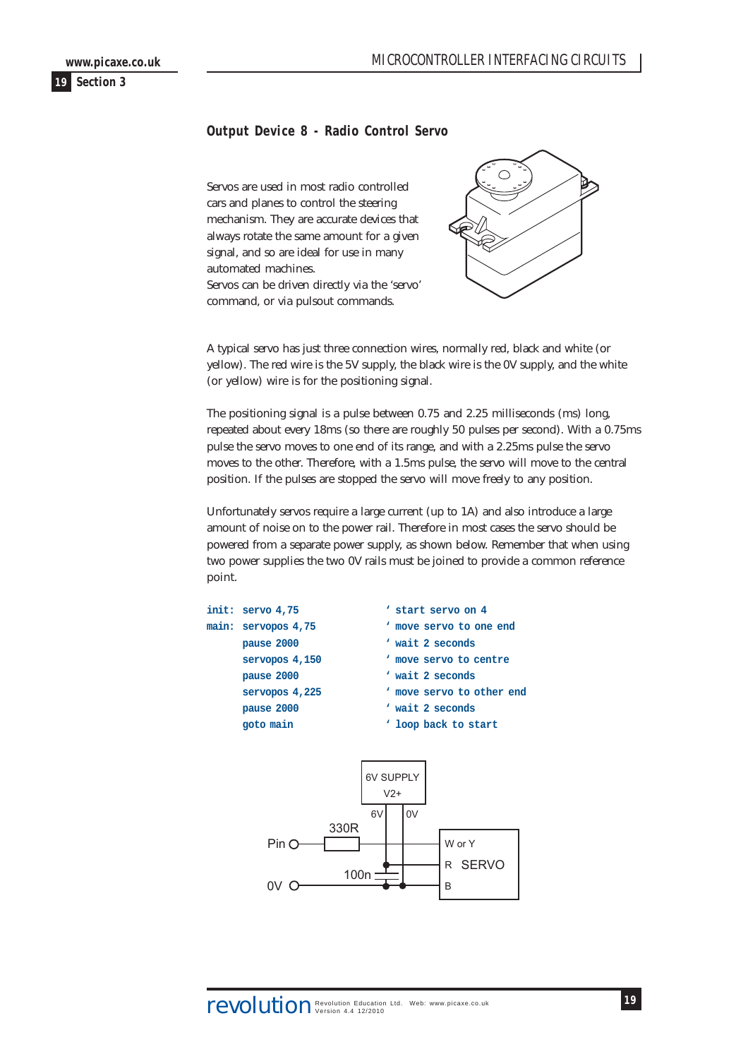<span id="page-18-0"></span>

# **Output Device 8 - Radio Control Servo**

Servos are used in most radio controlled cars and planes to control the steering mechanism. They are accurate devices that always rotate the same amount for a given signal, and so are ideal for use in many automated machines. Servos can be driven directly via the 'servo' command, or via pulsout commands.



A typical servo has just three connection wires, normally red, black and white (or yellow). The red wire is the 5V supply, the black wire is the 0V supply, and the white (or yellow) wire is for the positioning signal.

The positioning signal is a pulse between 0.75 and 2.25 milliseconds (ms) long, repeated about every 18ms (so there are roughly 50 pulses per second). With a 0.75ms pulse the servo moves to one end of its range, and with a 2.25ms pulse the servo moves to the other. Therefore, with a 1.5ms pulse, the servo will move to the central position. If the pulses are stopped the servo will move freely to any position.

Unfortunately servos require a large current (up to 1A) and also introduce a large amount of noise on to the power rail. Therefore in most cases the servo should be powered from a separate power supply, as shown below. Remember that when using two power supplies the two 0V rails must be joined to provide a common reference point.

W or Y

 $\overline{B}$ 

R SERVO



100<sub>n</sub>

Pin O

 $0V<sub>C</sub>$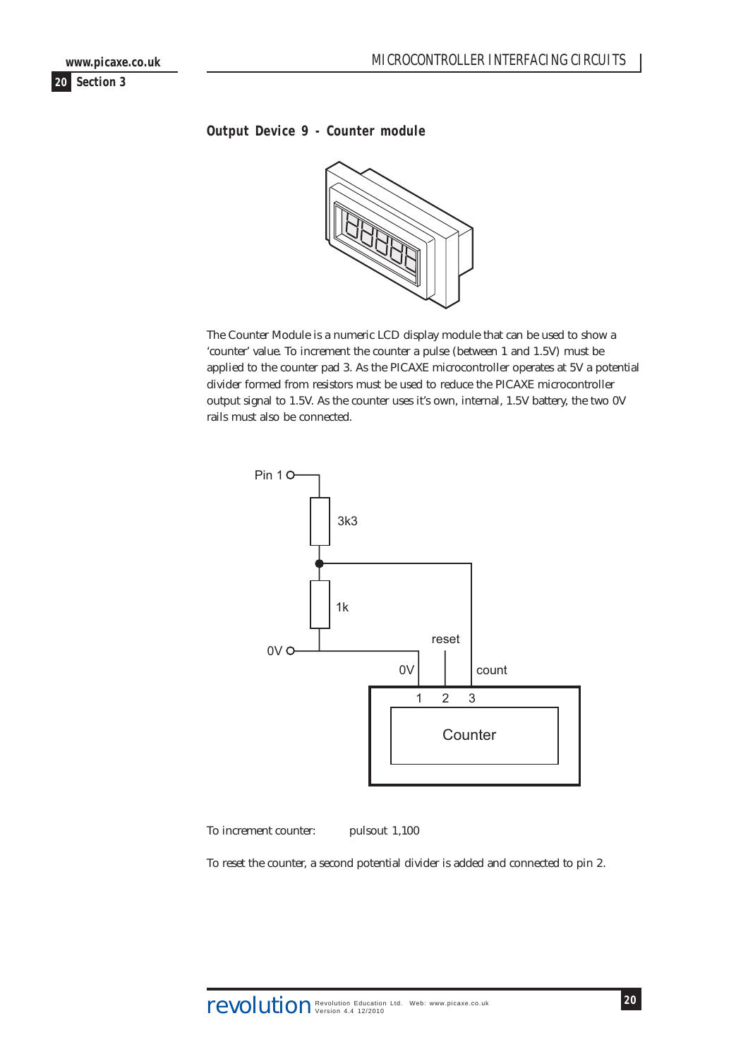<span id="page-19-0"></span>**www.picaxe.co.uk**

**20 Section 3**

# **Output Device 9 - Counter module**



The Counter Module is a numeric LCD display module that can be used to show a 'counter' value. To increment the counter a pulse (between 1 and 1.5V) must be applied to the counter pad 3. As the PICAXE microcontroller operates at 5V a potential divider formed from resistors must be used to reduce the PICAXE microcontroller output signal to 1.5V. As the counter uses it's own, internal, 1.5V battery, the two 0V rails must also be connected.



To increment counter: pulsout 1,100

To reset the counter, a second potential divider is added and connected to pin 2.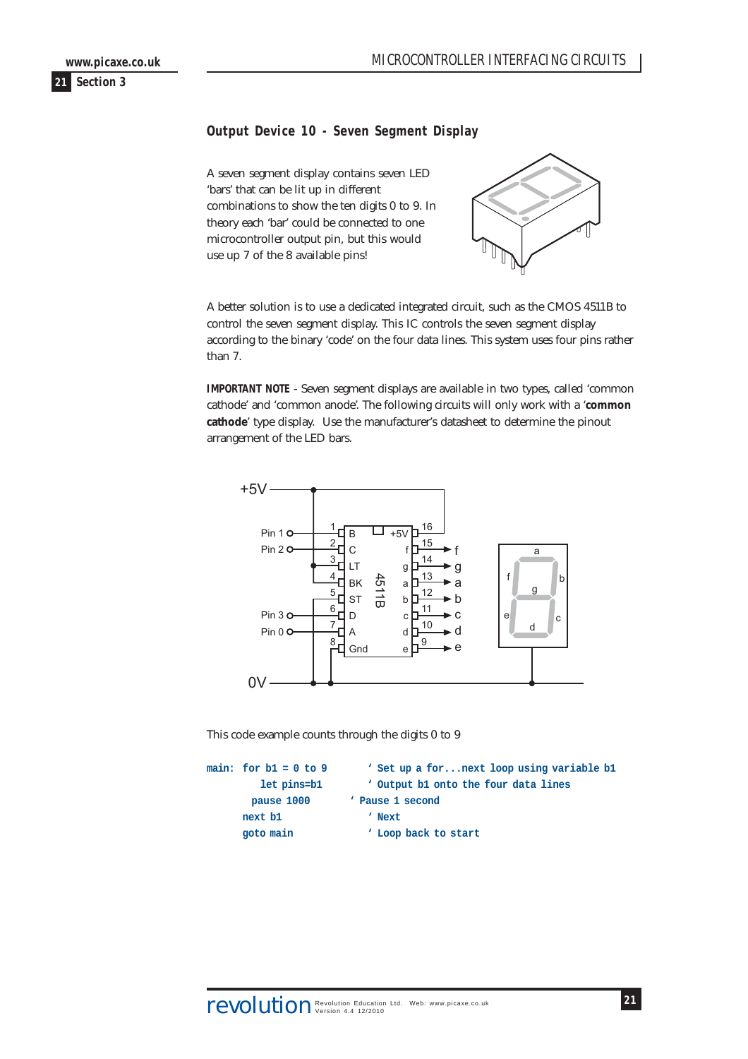# <span id="page-20-0"></span>**Output Device 10 - Seven Segment Display**

A seven segment display contains seven LED 'bars' that can be lit up in different combinations to show the ten digits 0 to 9. In theory each 'bar' could be connected to one microcontroller output pin, but this would use up 7 of the 8 available pins!



A better solution is to use a dedicated integrated circuit, such as the CMOS 4511B to control the seven segment display. This IC controls the seven segment display according to the binary 'code' on the four data lines. This system uses four pins rather than 7.

**IMPORTANT NOTE** - Seven segment displays are available in two types, called 'common cathode' and 'common anode'. The following circuits will only work with a '**common cathode**' type display. Use the manufacturer's datasheet to determine the pinout arrangement of the LED bars.



This code example counts through the digits 0 to 9

```
main: for b1 = 0 to 9 ' Set up a for...next loop using variable b1
       let pins=b1 ' Output b1 onto the four data lines
       pause 1000 ' Pause 1 second
     next b1 ' Next
     goto main ' Loop back to start
```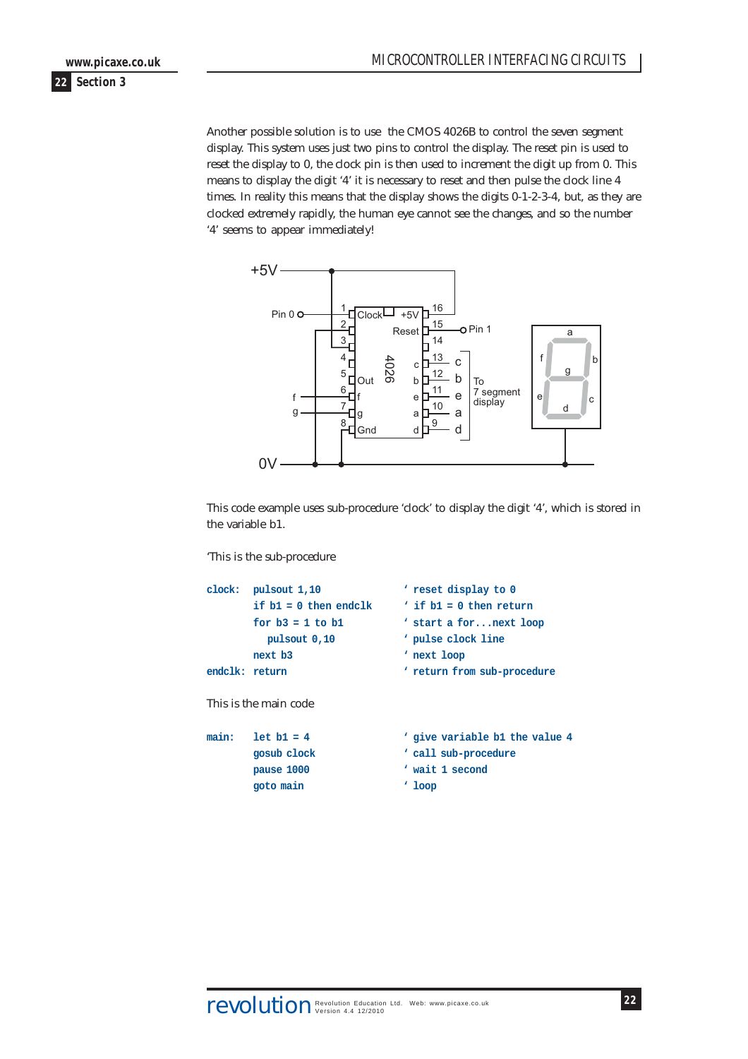Another possible solution is to use the CMOS 4026B to control the seven segment display. This system uses just two pins to control the display. The reset pin is used to reset the display to 0, the clock pin is then used to increment the digit up from 0. This means to display the digit '4' it is necessary to reset and then pulse the clock line 4 times. In reality this means that the display shows the digits 0-1-2-3-4, but, as they are clocked extremely rapidly, the human eye cannot see the changes, and so the number '4' seems to appear immediately!



This code example uses sub-procedure 'clock' to display the digit '4', which is stored in the variable b1.

'This is the sub-procedure

```
clock: pulsout 1,10 ' reset display to 0
         if b1 = 0 then endclk ' if b1 = 0 then return
         for b3 = 1 to b1 ' start a for...next loop
           pulsout 0,10 ' pulse clock line
        next b3 ' next loop
endclk: return with the contract of the contract of the contract of the contract of the contract of the contract of the contract of the contract of the contract of the contract of the contract of the contract of the con
This is the main code
main: let b1 = 4 ' give variable b1 the value 4
         gosub clock ' call sub-procedure
        pause 1000 ' wait 1 second
        goto main ' loop
```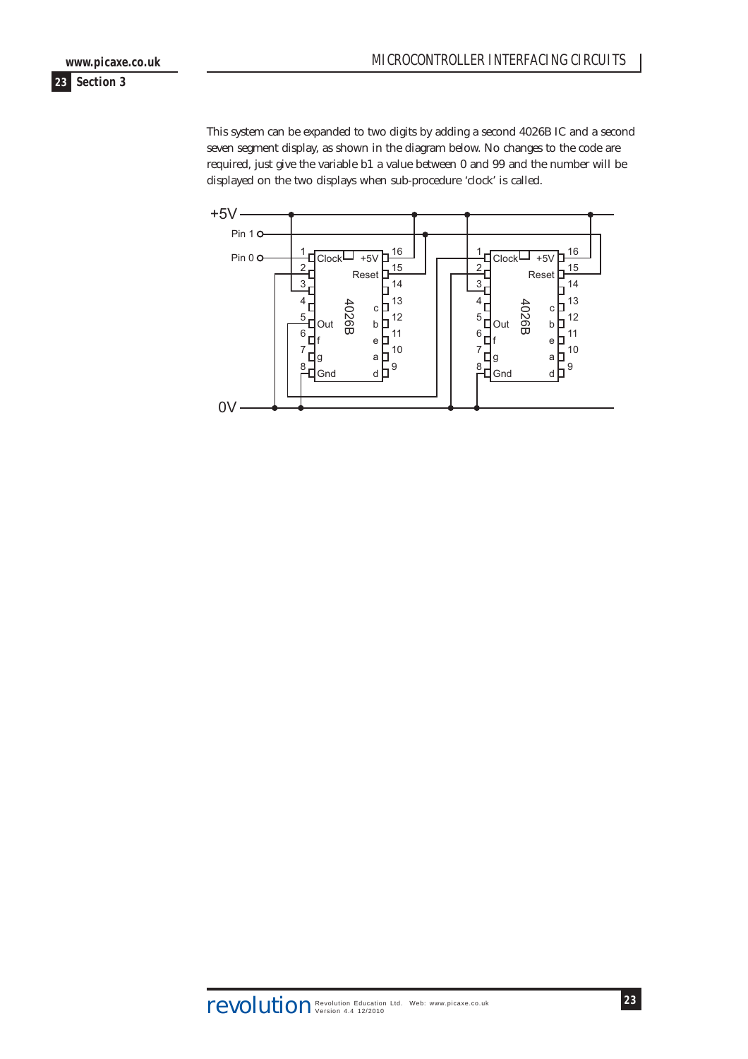This system can be expanded to two digits by adding a second 4026B IC and a second seven segment display, as shown in the diagram below. No changes to the code are required, just give the variable b1 a value between 0 and 99 and the number will be displayed on the two displays when sub-procedure 'clock' is called.

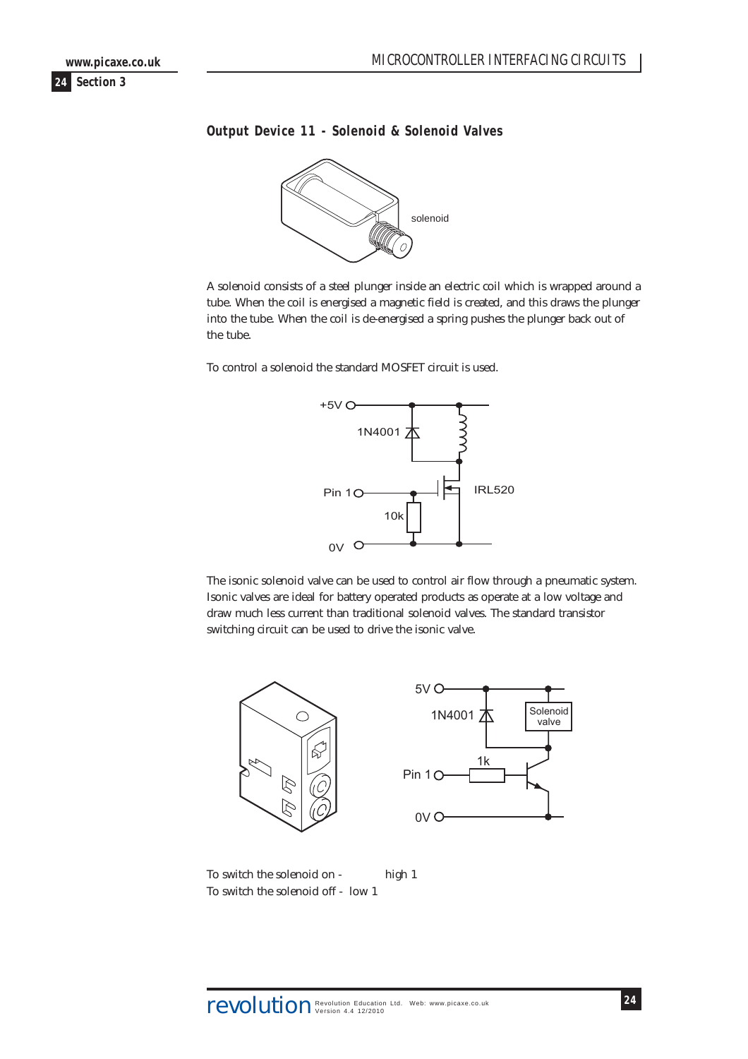<span id="page-23-0"></span>

# **Output Device 11 - Solenoid & Solenoid Valves**



A solenoid consists of a steel plunger inside an electric coil which is wrapped around a tube. When the coil is energised a magnetic field is created, and this draws the plunger into the tube. When the coil is de-energised a spring pushes the plunger back out of the tube.

To control a solenoid the standard MOSFET circuit is used.



The isonic solenoid valve can be used to control air flow through a pneumatic system. Isonic valves are ideal for battery operated products as operate at a low voltage and draw much less current than traditional solenoid valves. The standard transistor switching circuit can be used to drive the isonic valve.





To switch the solenoid on - high 1 To switch the solenoid off - low 1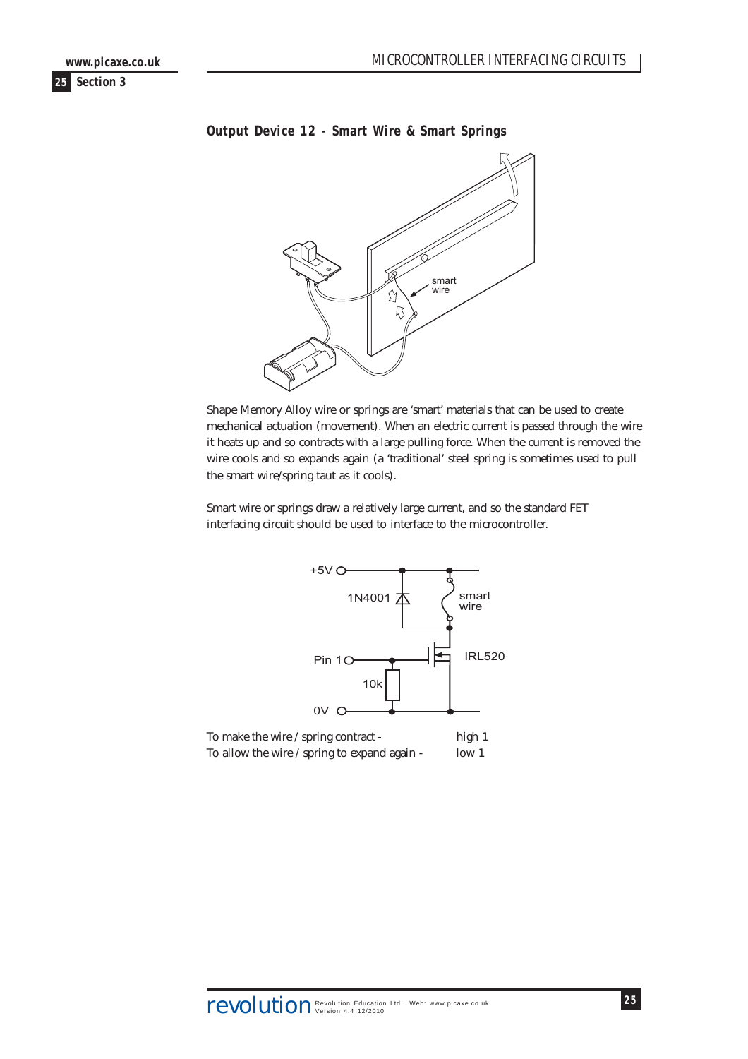<span id="page-24-0"></span>

# **Output Device 12 - Smart Wire & Smart Springs**



Shape Memory Alloy wire or springs are 'smart' materials that can be used to create mechanical actuation (movement). When an electric current is passed through the wire it heats up and so contracts with a large pulling force. When the current is removed the wire cools and so expands again (a 'traditional' steel spring is sometimes used to pull the smart wire/spring taut as it cools).

Smart wire or springs draw a relatively large current, and so the standard FET interfacing circuit should be used to interface to the microcontroller.

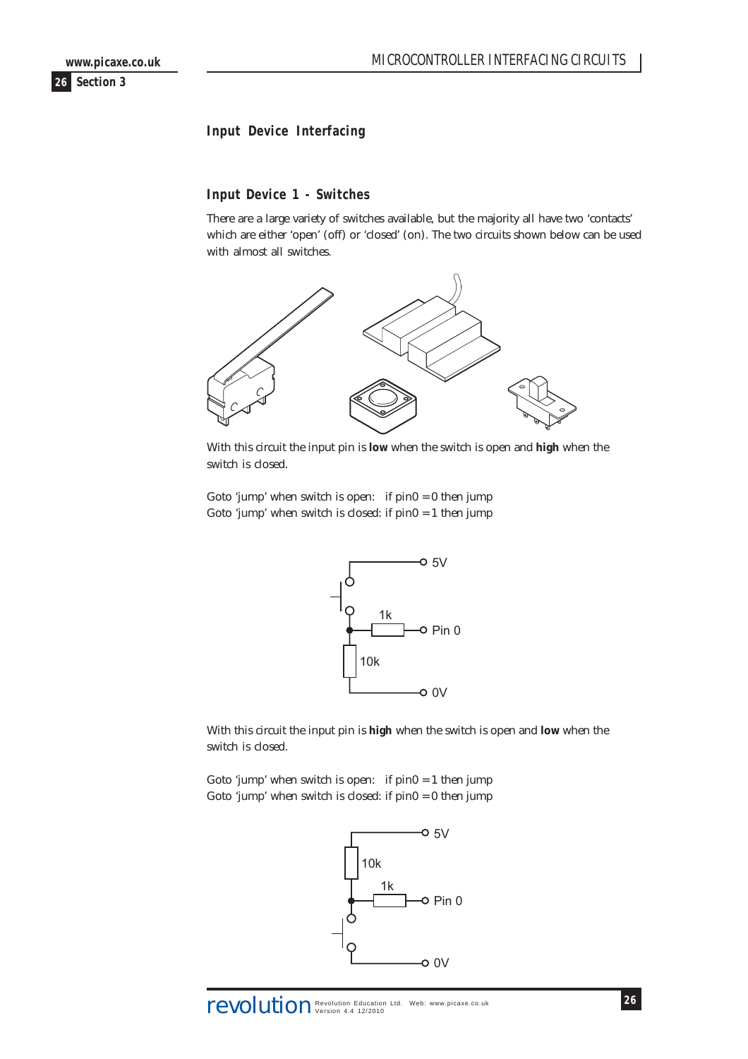# <span id="page-25-0"></span>**Input Device Interfacing**

#### **Input Device 1 - Switches**

There are a large variety of switches available, but the majority all have two 'contacts' which are either 'open' (off) or 'closed' (on). The two circuits shown below can be used with almost all switches.



With this circuit the input pin is **low** when the switch is open and **high** when the switch is closed.

Goto 'jump' when switch is open: if  $pin0 = 0$  then jump Goto 'jump' when switch is closed: if pin0 = 1 then jump



With this circuit the input pin is **high** when the switch is open and **low** when the switch is closed.

Goto 'jump' when switch is open: if  $pin0 = 1$  then jump Goto 'jump' when switch is closed: if  $pin0 = 0$  then jump

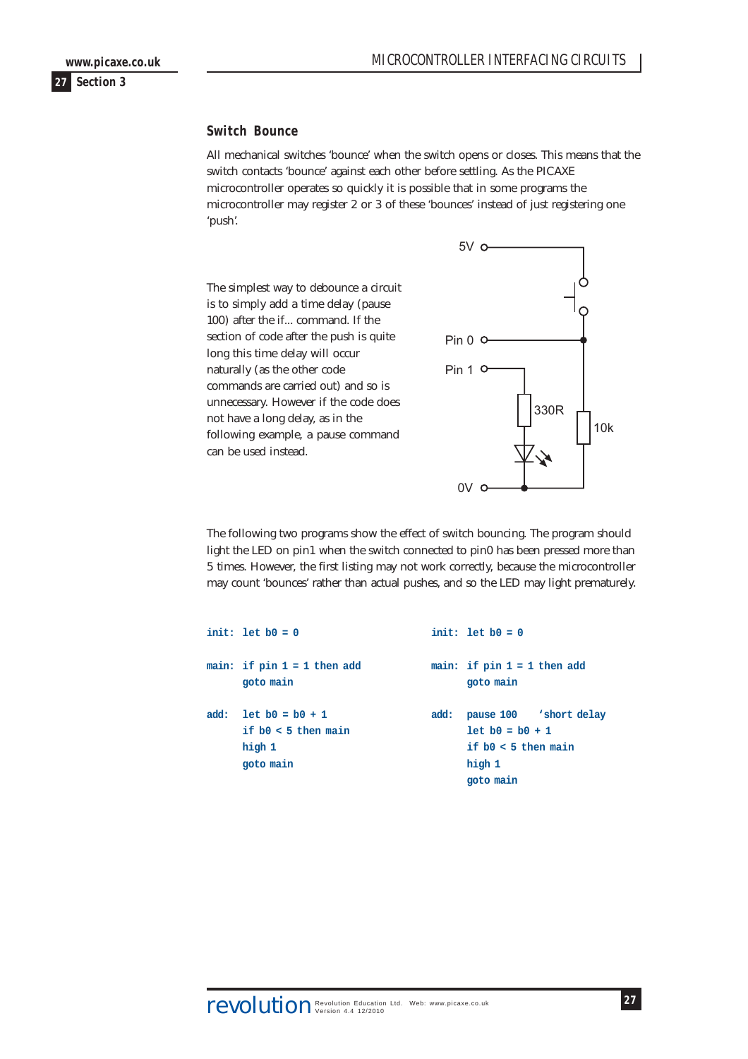#### <span id="page-26-0"></span>**Switch Bounce**

All mechanical switches 'bounce' when the switch opens or closes. This means that the switch contacts 'bounce' against each other before settling. As the PICAXE microcontroller operates so quickly it is possible that in some programs the microcontroller may register 2 or 3 of these 'bounces' instead of just registering one 'push'.

The simplest way to debounce a circuit is to simply add a time delay (pause 100) after the if... command. If the section of code after the push is quite long this time delay will occur naturally (as the other code commands are carried out) and so is unnecessary. However if the code does not have a long delay, as in the following example, a pause command can be used instead.



The following two programs show the effect of switch bouncing. The program should light the LED on pin1 when the switch connected to pin0 has been pressed more than 5 times. However, the first listing may not work correctly, because the microcontroller may count 'bounces' rather than actual pushes, and so the LED may light prematurely.

|      | init: let $b0 = 0$                                                |      | init: let $b0 = 0$                                                                          |
|------|-------------------------------------------------------------------|------|---------------------------------------------------------------------------------------------|
|      | main: if $pin 1 = 1$ then add<br>goto main                        |      | main: if $pin 1 = 1$ then add<br>goto main                                                  |
| add: | $let b0 = b0 + 1$<br>if $b0 < 5$ then main<br>high 1<br>goto main | add: | pause 100 'short delay<br>$let b0 = b0 + 1$<br>if $b0 < 5$ then main<br>high 1<br>goto main |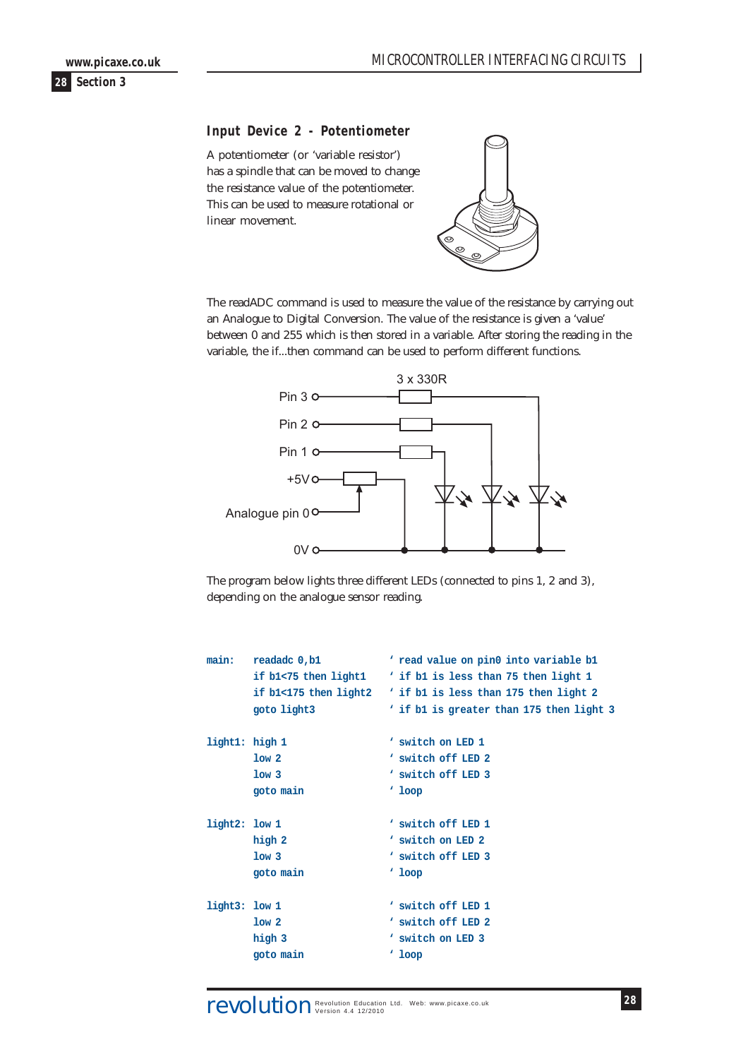<span id="page-27-0"></span>

#### **Input Device 2 - Potentiometer**

A potentiometer (or 'variable resistor') has a spindle that can be moved to change the resistance value of the potentiometer. This can be used to measure rotational or linear movement.



The readADC command is used to measure the value of the resistance by carrying out an Analogue to Digital Conversion. The value of the resistance is given a 'value' between 0 and 255 which is then stored in a variable. After storing the reading in the variable, the if...then command can be used to perform different functions.



The program below lights three different LEDs (connected to pins 1, 2 and 3), depending on the analogue sensor reading.

| main:          | readadc 0,b1          | ' read value on pin0 into variable b1    |
|----------------|-----------------------|------------------------------------------|
|                | if b1<75 then light1  | ' if b1 is less than 75 then light 1     |
|                | if b1<175 then light2 | ' if b1 is less than 175 then light 2    |
|                | goto light3           | ' if b1 is greater than 175 then light 3 |
| light1: high 1 |                       | ' switch on LED 1                        |
|                | 1ow <sub>2</sub>      | ' switch off LED 2                       |
|                |                       |                                          |
|                | 1ow <sub>3</sub>      | ' switch off LED 3                       |
|                | goto main             | $'$ loop                                 |
|                |                       |                                          |
| light2: low 1  |                       | ' switch off LED 1                       |
|                | high 2                | ' switch on LED 2                        |
|                | 1ow <sub>3</sub>      | ' switch off LED 3                       |
|                | goto main             | $'$ loop                                 |
|                |                       |                                          |
| light3: low 1  |                       | ' switch off LED 1                       |
|                | 1ow <sub>2</sub>      | ' switch off LED 2                       |
|                | high 3                | ' switch on LED 3                        |
|                | goto main             | $'$ loop                                 |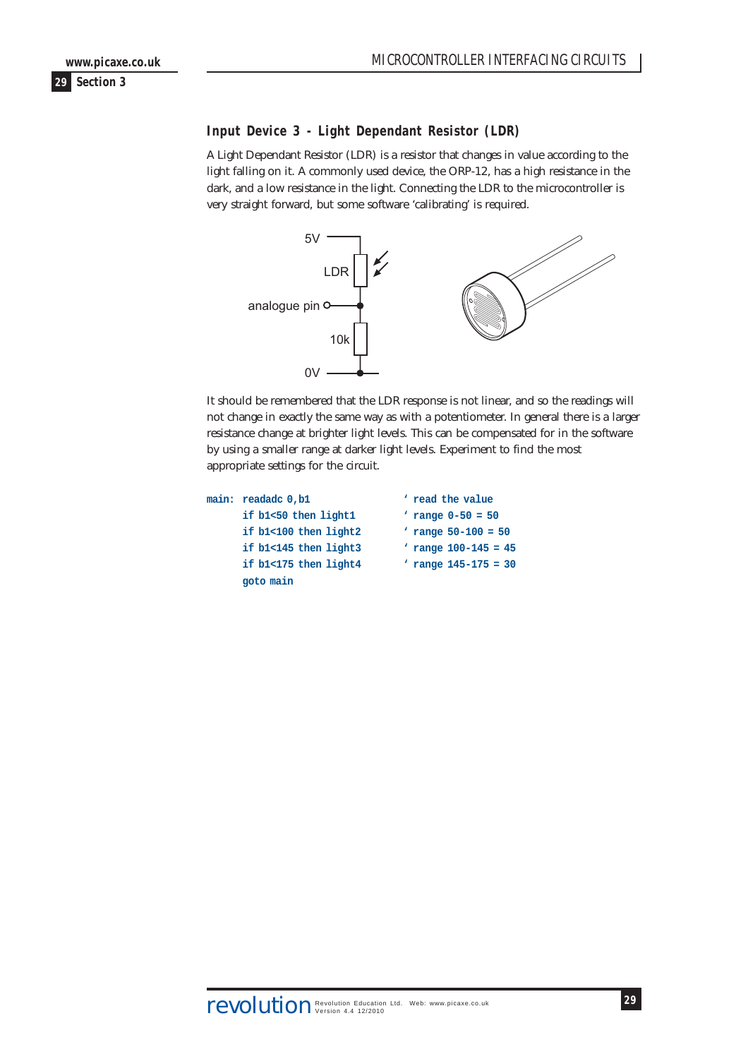# <span id="page-28-0"></span>**Input Device 3 - Light Dependant Resistor (LDR)**

A Light Dependant Resistor (LDR) is a resistor that changes in value according to the light falling on it. A commonly used device, the ORP-12, has a high resistance in the dark, and a low resistance in the light. Connecting the LDR to the microcontroller is very straight forward, but some software 'calibrating' is required.



It should be remembered that the LDR response is not linear, and so the readings will not change in exactly the same way as with a potentiometer. In general there is a larger resistance change at brighter light levels. This can be compensated for in the software by using a smaller range at darker light levels. Experiment to find the most appropriate settings for the circuit.

```
main: readadc 0,b1 ' read the value
     if b1<50 then light1 ' range 0-50 = 50
     if b1<100 then light2 ' range 50-100 = 50
     if b1<145 then light3 ' range 100-145 = 45
     if b1<175 then light4 ' range 145-175 = 30
     goto main
```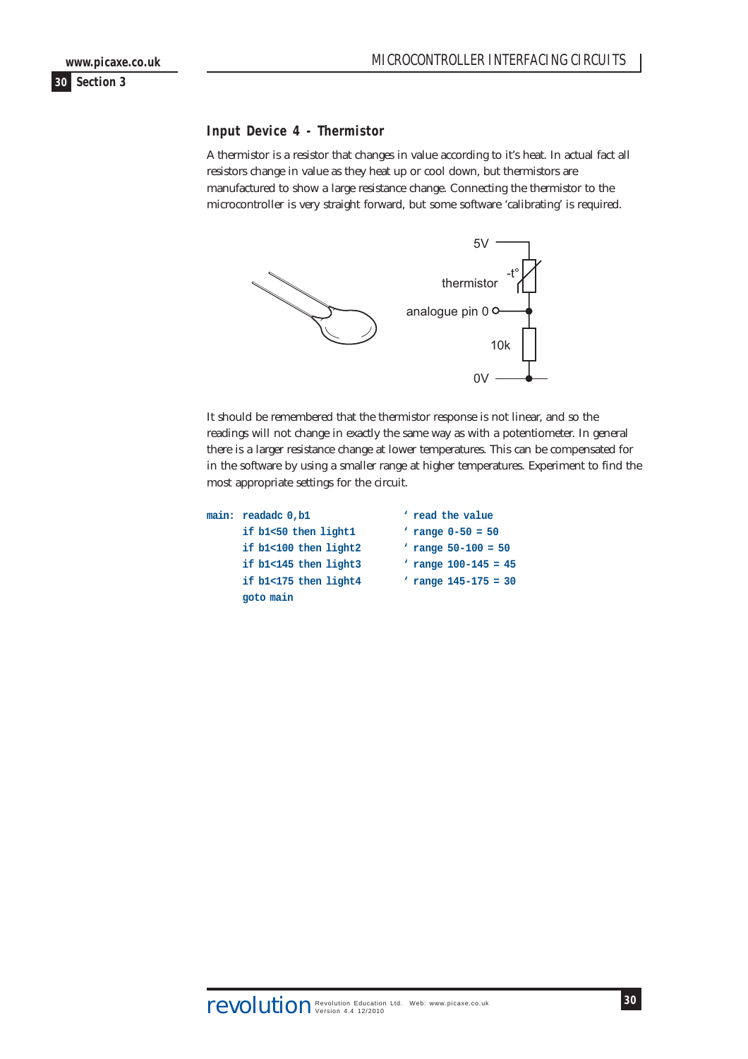#### <span id="page-29-0"></span>**Input Device 4 - Thermistor**

A thermistor is a resistor that changes in value according to it's heat. In actual fact all resistors change in value as they heat up or cool down, but thermistors are manufactured to show a large resistance change. Connecting the thermistor to the microcontroller is very straight forward, but some software 'calibrating' is required.



It should be remembered that the thermistor response is not linear, and so the readings will not change in exactly the same way as with a potentiometer. In general there is a larger resistance change at lower temperatures. This can be compensated for in the software by using a smaller range at higher temperatures. Experiment to find the most appropriate settings for the circuit.

| main: readadc 0, b1   | ' read the value         |
|-----------------------|--------------------------|
| if b1<50 then light1  | ' range $0 - 50 = 50$    |
| if b1<100 then light2 | ' range $50 - 100 = 50$  |
| if b1<145 then light3 | ' range $100 - 145 = 45$ |
| if b1<175 then light4 | ' range $145 - 175 = 30$ |
| goto main             |                          |
|                       |                          |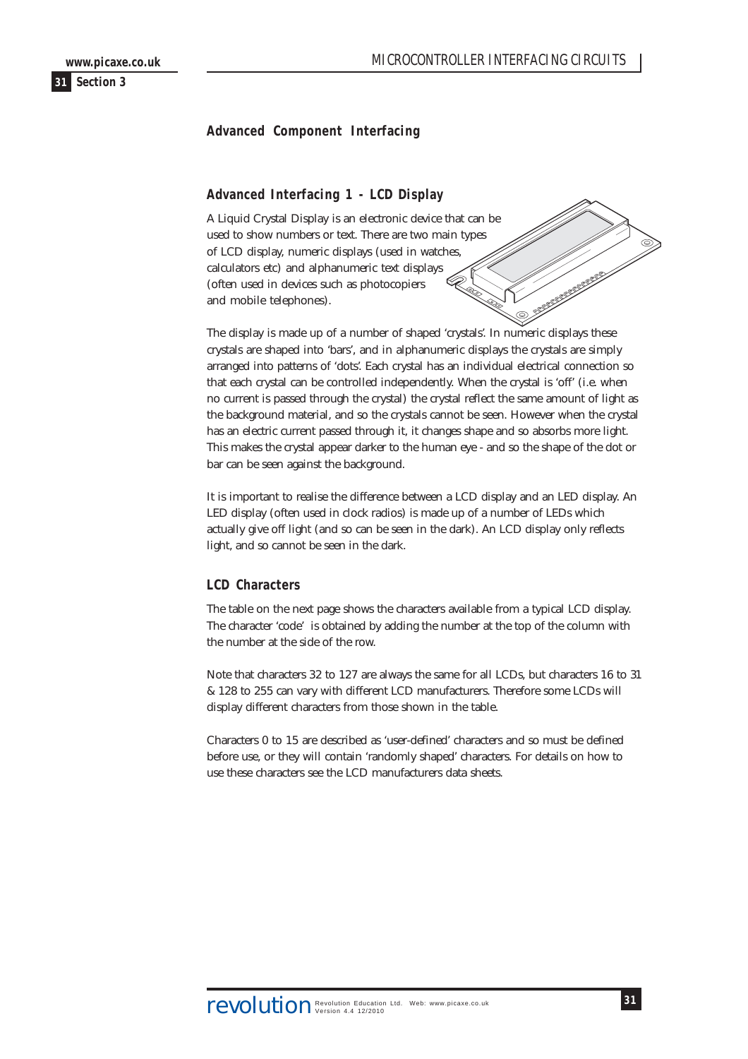# <span id="page-30-0"></span>**Advanced Component Interfacing**

### **Advanced Interfacing 1 - LCD Display**

A Liquid Crystal Display is an electronic device that can be used to show numbers or text. There are two main types of LCD display, numeric displays (used in watches, calculators etc) and alphanumeric text displays (often used in devices such as photocopiers and mobile telephones).

The display is made up of a number of shaped 'crystals'. In numeric displays these crystals are shaped into 'bars', and in alphanumeric displays the crystals are simply arranged into patterns of 'dots'. Each crystal has an individual electrical connection so that each crystal can be controlled independently. When the crystal is 'off' (i.e. when no current is passed through the crystal) the crystal reflect the same amount of light as the background material, and so the crystals cannot be seen. However when the crystal has an electric current passed through it, it changes shape and so absorbs more light. This makes the crystal appear darker to the human eye - and so the shape of the dot or bar can be seen against the background.

It is important to realise the difference between a LCD display and an LED display. An LED display (often used in clock radios) is made up of a number of LEDs which actually give off light (and so can be seen in the dark). An LCD display only reflects light, and so cannot be seen in the dark.

#### **LCD Characters**

The table on the next page shows the characters available from a typical LCD display. The character 'code' is obtained by adding the number at the top of the column with the number at the side of the row.

Note that characters 32 to 127 are always the same for all LCDs, but characters 16 to 31 & 128 to 255 can vary with different LCD manufacturers. Therefore some LCDs will display different characters from those shown in the table.

Characters 0 to 15 are described as 'user-defined' characters and so must be defined before use, or they will contain 'randomly shaped' characters. For details on how to use these characters see the LCD manufacturers data sheets.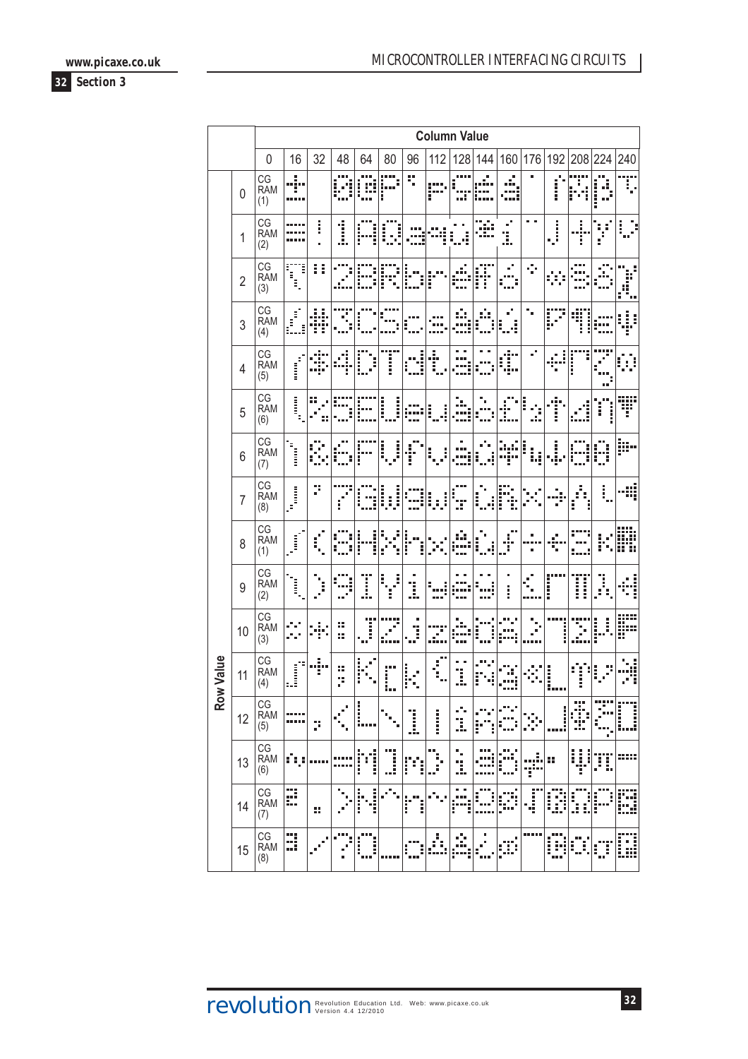**www.picaxe.co.uk**



|            |                |                         |                         |           |                |                       |             |             |                   | <b>Column Value</b>     |                      |                     |                     |        |              |             |          |
|------------|----------------|-------------------------|-------------------------|-----------|----------------|-----------------------|-------------|-------------|-------------------|-------------------------|----------------------|---------------------|---------------------|--------|--------------|-------------|----------|
|            |                | $\mathbf 0$             | 16                      | 32        | 48             | 64                    | 80          | 96          | 112               | 128                     | 144                  | 160                 | 176                 | 192    | 208          | 224         | 240      |
|            | $\overline{0}$ | CG<br><b>RAM</b><br>(1) | š<br>                   |           |                |                       | İ           | ę           | P                 |                         | ٠                    | ă.<br><br>---       |                     | i      |              | m m         |          |
|            | 1              | CG<br><b>RAM</b><br>(2) |                         | į         | ĺ              |                       |             |             |                   |                         |                      | ć,<br>ı             | $\blacksquare$<br>× | j      | ē            | E<br>ă<br>E | i        |
|            | $\overline{2}$ | CG<br><b>RAM</b><br>(3) | Ξ<br>Ξ<br>Î,            | ŧ,<br>I   |                |                       | i           | i           | į                 | ٠                       | .<br>ł<br>ĺ          | ٠<br>٠<br>          | ÷                   | ÷      |              |             | İ<br>m s |
|            | 3              | CG<br><b>RAM</b><br>(4) | Ē<br>Ξ<br>Ξ.            | ÷         |                |                       |             |             |                   |                         |                      | ٠<br>i              | ٠                   | j      |              |             |          |
|            | $\overline{4}$ | CG<br><b>RAM</b><br>(5) | <b>Contract</b>         |           | ï              |                       | İ           |             |                   |                         |                      | I                   | Ö,                  |        | į            |             |          |
|            | 5              | CG<br><b>RAM</b><br>(6) | İ<br>Ξ                  | ∷         |                |                       | I<br>i      |             | į                 |                         |                      |                     | ì                   | Ī      |              | i           | ₩        |
|            | 6              | CG<br><b>RAM</b><br>(7) |                         |           |                |                       | i           |             |                   |                         |                      |                     | į                   | i      |              | d.          | Þ        |
|            | $\overline{7}$ | CG<br><b>RAM</b><br>(8) | j.                      | þ         | I              | į                     | İ<br>į<br>Ì |             | į                 | ē                       |                      | İ                   |                     |        | E<br>Ì       | i           | ₩        |
|            | 8              | CG<br><b>RAM</b><br>(1) |                         |           |                |                       |             |             |                   |                         |                      | i                   |                     |        |              |             | 89.      |
|            | 9              | CG<br><b>RAM</b><br>(2) | İ                       | i<br>٠    | <br>$\alpha^2$ | I                     | į<br>i      | l.          |                   |                         |                      | ٠<br>i              |                     | į      | Ï<br>Ī       | ĵ,          | i        |
|            | 10             | CG<br><b>RAM</b><br>(3) |                         |           | ።<br>×         | Ī                     |             |             |                   |                         |                      |                     |                     |        |              | İ           |          |
| Value      | 11             | CG<br><b>RAM</b><br>(4) | i<br>Samuan<br>San<br>Ė | I,<br>"i" | ×<br>٠,        |                       |             |             |                   | Ï.                      |                      |                     |                     | l      |              | į           |          |
| <b>Row</b> | 12             | CG<br>RAM<br>(5)        | <br>-----               | þ         |                | <br>                  |             | l           | i                 | ٠<br>. .<br>ă,          | i                    | I                   | Ķ.                  |        | Ť<br>I       | m.          | İ        |
|            | 13             | CG<br>RAM<br>(6)        | ήş                      |           |                | ::::<br>$\vdots$<br>÷ | j           | Ĕ<br>E<br>i | ă                 | ٠<br>٠<br>I.            |                      | i                   | į,<br>Ť             | 8      | i<br>ļ.<br>j | Ï<br>Ï.     |          |
|            | 14             | CG<br>RAM<br>(7)        | Ø                       | ă.        |                | ŀ<br>=<br>=<br>=<br>٠ | ۰,          | ľ<br>h.     |                   | ٠<br>٠<br>ina<br>j<br>Ē | I                    | ٠<br>9)<br>Pi<br>ĭ. | j<br>۰              | i<br>Ä | ĺ<br>ł       | i<br>ĺ      | 'n,      |
|            | 15             | CG<br>RAM<br>(8)        | B                       | ×.        | H              | <br>İ<br>i<br>        |             | I<br>i      | $\delta_i^+$<br>E | Å                       | ٠<br>٠<br>ă<br>٠<br> | ٠<br>œ              |                     | ш<br>œ | Ì<br>X<br>l. | Œ<br>a a    | ű<br>İ   |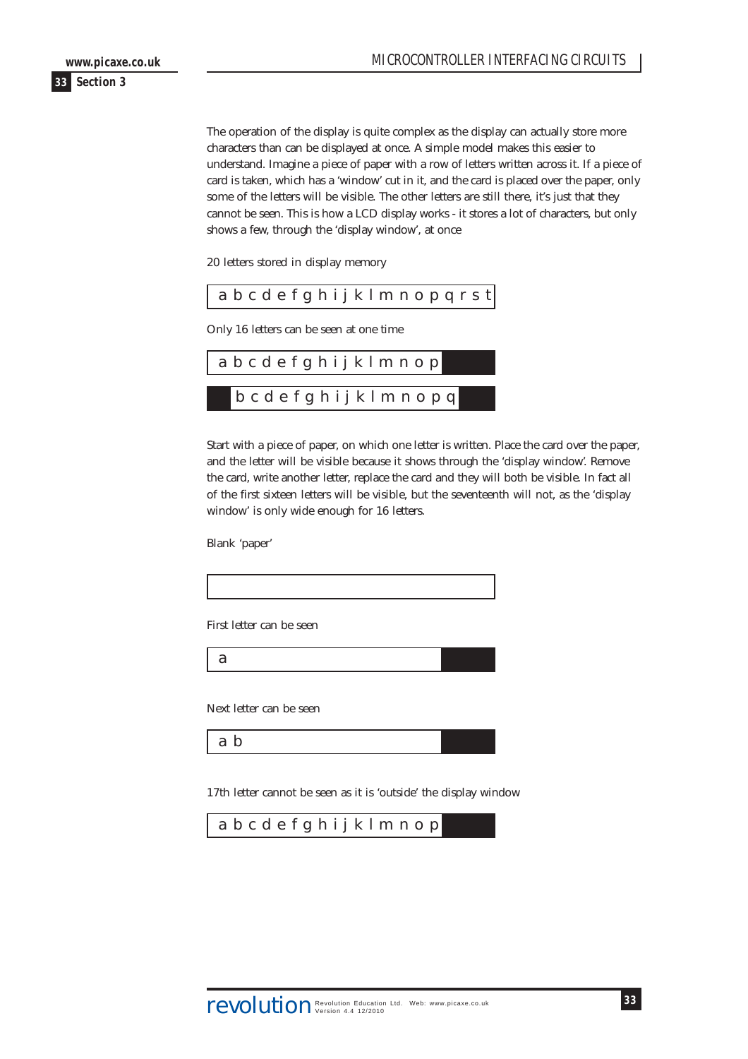The operation of the display is quite complex as the display can actually store more characters than can be displayed at once. A simple model makes this easier to understand. Imagine a piece of paper with a row of letters written across it. If a piece of card is taken, which has a 'window' cut in it, and the card is placed over the paper, only some of the letters will be visible. The other letters are still there, it's just that they cannot be seen. This is how a LCD display works - it stores a lot of characters, but only shows a few, through the 'display window', at once

20 letters stored in display memory

| $ $ a $b$ c $d$ $e$ f $g$ $h$ i $j$ $k$ $l$ $m$ $n$ $o$ $p$ $q$ $r$ $s$ $t$ |
|-----------------------------------------------------------------------------|
|-----------------------------------------------------------------------------|

Only 16 letters can be seen at one time



Start with a piece of paper, on which one letter is written. Place the card over the paper, and the letter will be visible because it shows through the 'display window'. Remove the card, write another letter, replace the card and they will both be visible. In fact all of the first sixteen letters will be visible, but the seventeenth will not, as the 'display window' is only wide enough for 16 letters.

Blank 'paper'

| First letter can be seen                                         |  |
|------------------------------------------------------------------|--|
| a                                                                |  |
| Next letter can be seen                                          |  |
| a b                                                              |  |
|                                                                  |  |
| 17th letter cannot be seen as it is 'outside' the display window |  |
| abcdefghijkImnop                                                 |  |
|                                                                  |  |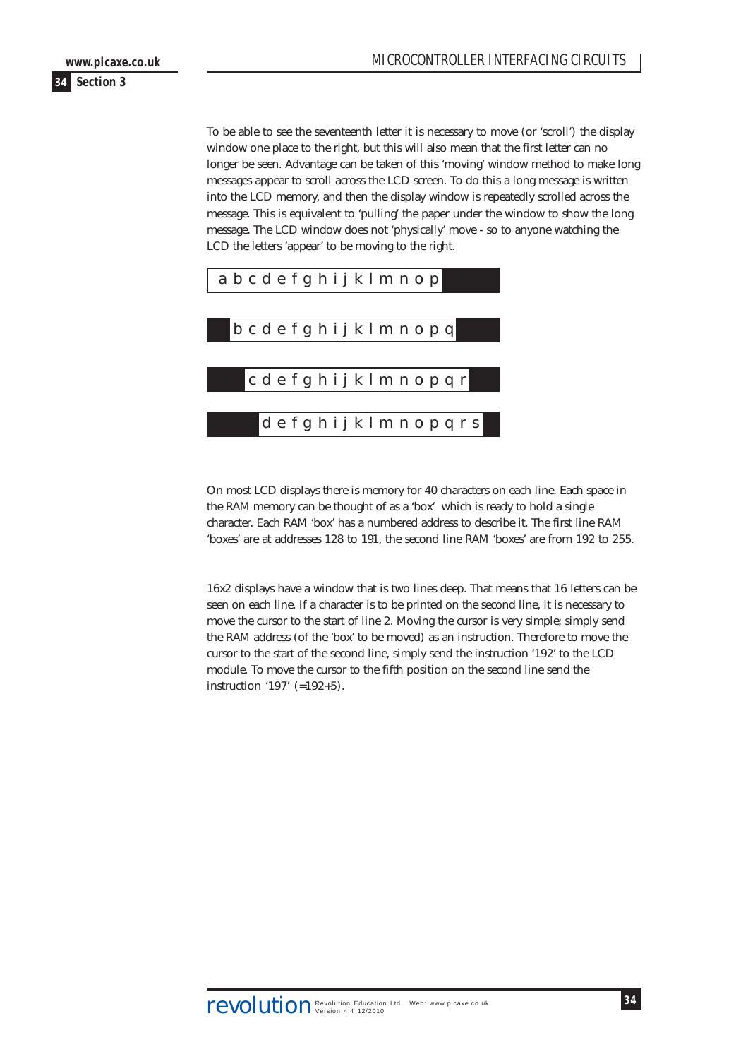To be able to see the seventeenth letter it is necessary to move (or 'scroll') the display window one place to the right, but this will also mean that the first letter can no longer be seen. Advantage can be taken of this 'moving' window method to make long messages appear to scroll across the LCD screen. To do this a long message is written into the LCD memory, and then the display window is repeatedly scrolled across the message. This is equivalent to 'pulling' the paper under the window to show the long message. The LCD window does not 'physically' move - so to anyone watching the LCD the letters 'appear' to be moving to the right.



On most LCD displays there is memory for 40 characters on each line. Each space in the RAM memory can be thought of as a 'box' which is ready to hold a single character. Each RAM 'box' has a numbered address to describe it. The first line RAM 'boxes' are at addresses 128 to 191, the second line RAM 'boxes' are from 192 to 255.

16x2 displays have a window that is two lines deep. That means that 16 letters can be seen on each line. If a character is to be printed on the second line, it is necessary to move the cursor to the start of line 2. Moving the cursor is very simple; simply send the RAM address (of the 'box' to be moved) as an instruction. Therefore to move the cursor to the start of the second line, simply send the instruction '192' to the LCD module. To move the cursor to the fifth position on the second line send the instruction '197' (=192+5).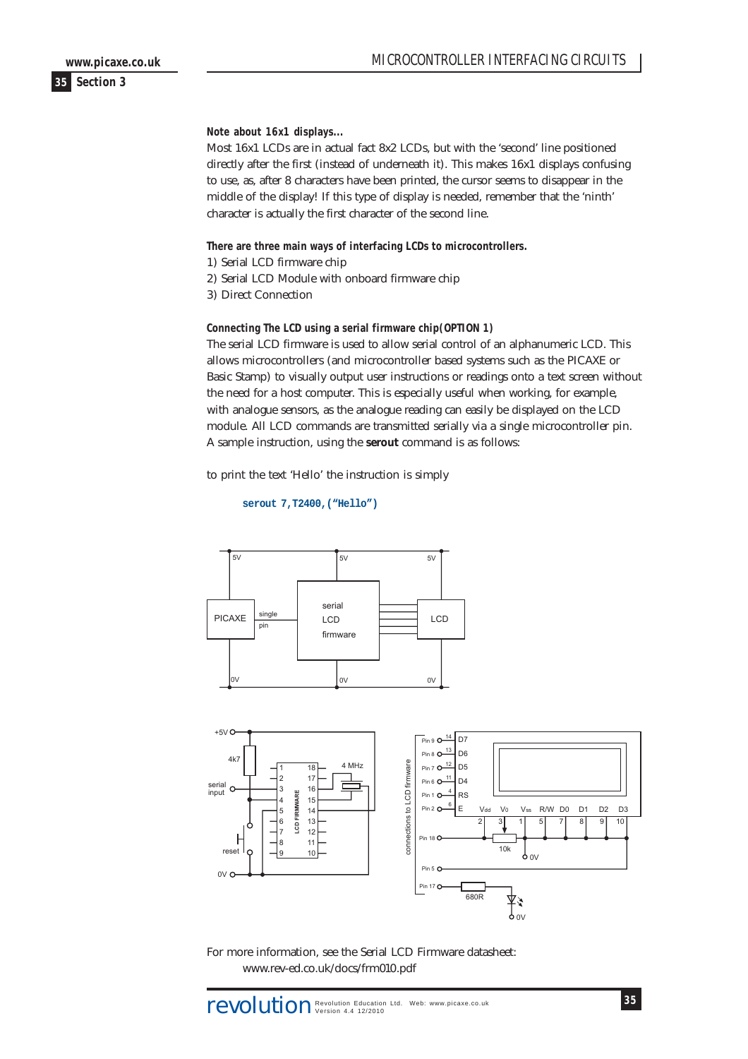# MICROCONTROLLER INTERFACING CIRCUITS

**Note about 16x1 displays...**

Most 16x1 LCDs are in actual fact 8x2 LCDs, but with the 'second' line positioned directly after the first (instead of underneath it). This makes 16x1 displays confusing to use, as, after 8 characters have been printed, the cursor seems to disappear in the middle of the display! If this type of display is needed, remember that the 'ninth' character is actually the first character of the second line.

**There are three main ways of interfacing LCDs to microcontrollers.**

- 1) Serial LCD firmware chip
- 2) Serial LCD Module with onboard firmware chip
- 3) Direct Connection

**Connecting The LCD using a serial firmware chip(OPTION 1)**

The serial LCD firmware is used to allow serial control of an alphanumeric LCD. This allows microcontrollers (and microcontroller based systems such as the PICAXE or Basic Stamp) to visually output user instructions or readings onto a text screen without the need for a host computer. This is especially useful when working, for example, with analogue sensors, as the analogue reading can easily be displayed on the LCD module. All LCD commands are transmitted serially via a single microcontroller pin. A sample instruction, using the **serout** command is as follows:

to print the text 'Hello' the instruction is simply

```
serout 7,T2400,("Hello")
```




For more information, see the Serial LCD Firmware datasheet: www.rev-ed.co.uk/docs/frm010.pdf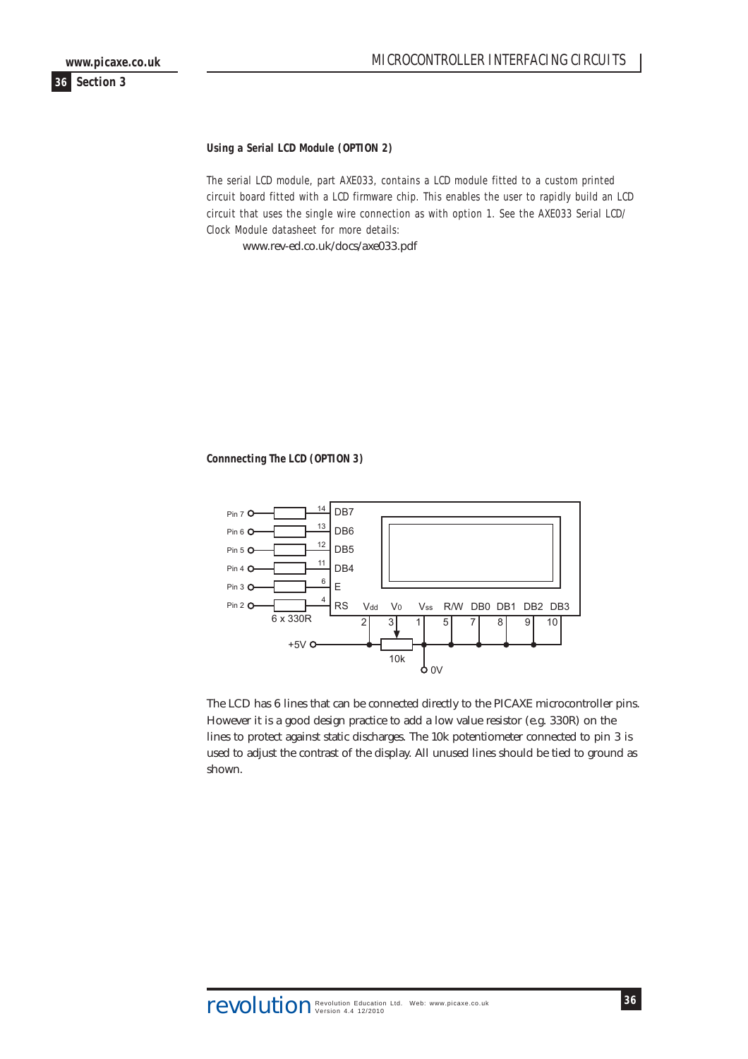#### **Using a Serial LCD Module (OPTION 2)**

The serial LCD module, part AXE033, contains a LCD module fitted to a custom printed circuit board fitted with a LCD firmware chip. This enables the user to rapidly build an LCD circuit that uses the single wire connection as with option 1. See the AXE033 Serial LCD/ Clock Module datasheet for more details:

www.rev-ed.co.uk/docs/axe033.pdf

#### **Connnecting The LCD (OPTION 3)**



The LCD has 6 lines that can be connected directly to the PICAXE microcontroller pins. However it is a good design practice to add a low value resistor (e.g. 330R) on the lines to protect against static discharges. The 10k potentiometer connected to pin 3 is used to adjust the contrast of the display. All unused lines should be tied to ground as shown.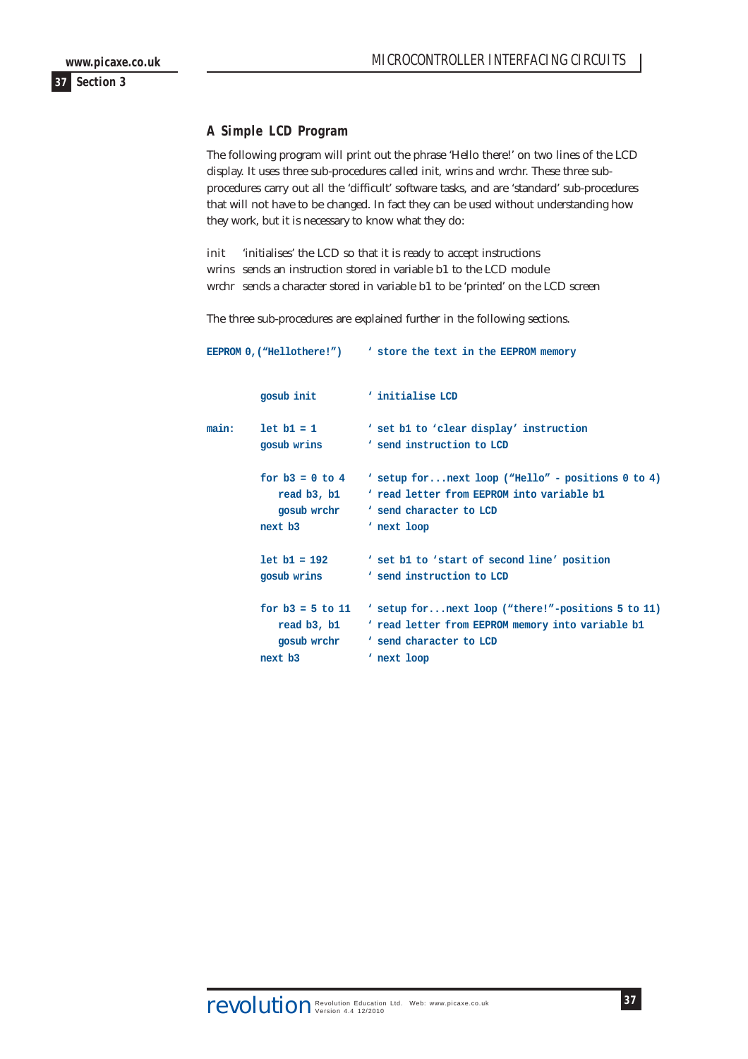# <span id="page-36-0"></span>**A Simple LCD Program**

The following program will print out the phrase 'Hello there!' on two lines of the LCD display. It uses three sub-procedures called init, wrins and wrchr. These three subprocedures carry out all the 'difficult' software tasks, and are 'standard' sub-procedures that will not have to be changed. In fact they can be used without understanding how they work, but it is necessary to know what they do:

init 'initialises' the LCD so that it is ready to accept instructions wrins sends an instruction stored in variable b1 to the LCD module wrchr sends a character stored in variable b1 to be 'printed' on the LCD screen

The three sub-procedures are explained further in the following sections.

|       | gosub init                                                   | ' initialise LCD                                                                                                                                  |
|-------|--------------------------------------------------------------|---------------------------------------------------------------------------------------------------------------------------------------------------|
| main: | $let b1 = 1$<br>gosub wrins                                  | ' set b1 to 'clear display' instruction<br>' send instruction to LCD                                                                              |
|       | for $b3 = 0$ to $4$<br>read b3, b1<br>gosub wrchr<br>next b3 | ' setup for next loop ("Hello" - positions 0 to 4)<br>' read letter from EEPROM into variable b1<br>' send character to LCD<br>' next loop        |
|       | $let b1 = 192$<br>gosub wrins                                | ' set b1 to 'start of second line' position<br>' send instruction to LCD                                                                          |
|       | for $b3 = 5$ to 11<br>read b3, b1<br>gosub wrchr<br>next b3  | ' setup for next loop ("there!"-positions 5 to 11)<br>' read letter from EEPROM memory into variable b1<br>' send character to LCD<br>' next loop |

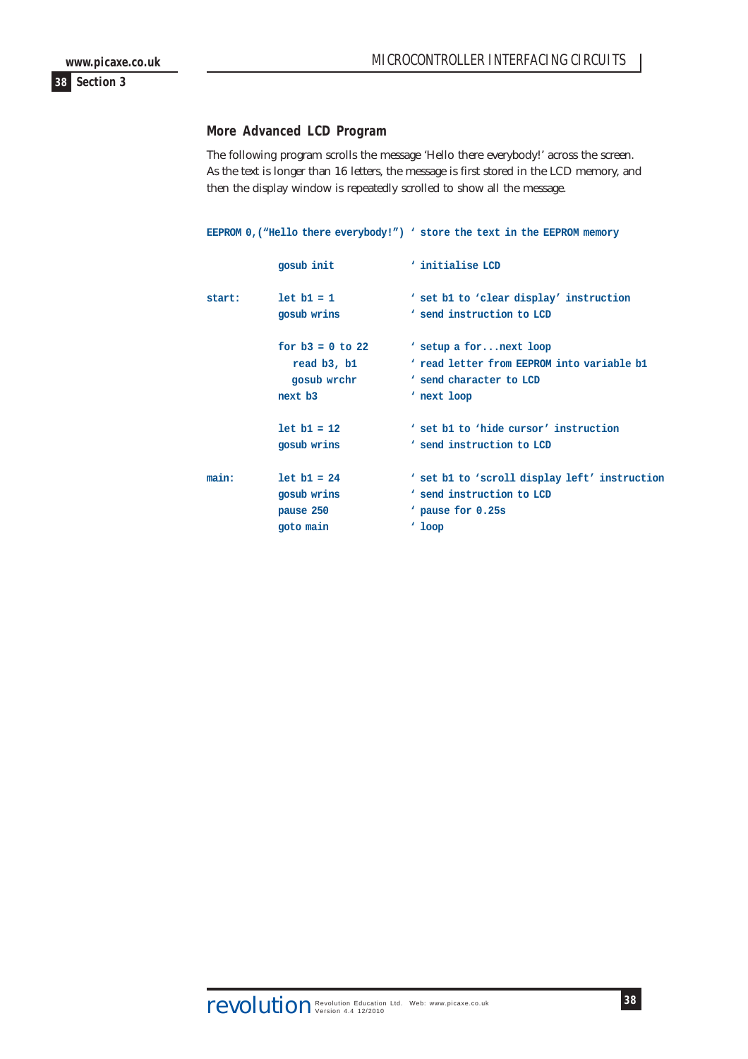### <span id="page-37-0"></span>**More Advanced LCD Program**

The following program scrolls the message 'Hello there everybody!' across the screen. As the text is longer than 16 letters, the message is first stored in the LCD memory, and then the display window is repeatedly scrolled to show all the message.

**EEPROM 0,("Hello there everybody!") ' store the text in the EEPROM memory**

| gosub init         | ' initialise LCD                                                     |
|--------------------|----------------------------------------------------------------------|
| $let b1 = 1$       | ' set b1 to 'clear display' instruction<br>' send instruction to LCD |
|                    |                                                                      |
| for $b3 = 0$ to 22 | ' setup a for next loop                                              |
| read b3, b1        | ' read letter from EEPROM into variable b1                           |
| gosub wrchr        | ' send character to LCD                                              |
| next b3            | ' next loop                                                          |
| $let b1 = 12$      | ' set b1 to 'hide cursor' instruction                                |
| gosub wrins        | ' send instruction to LCD                                            |
| $let b1 = 24$      | ' set b1 to 'scroll display left' instruction                        |
| gosub wrins        | ' send instruction to LCD                                            |
| pause 250          | pause for 0.25s                                                      |
| goto main          | $'$ loop                                                             |
|                    | gosub wrins                                                          |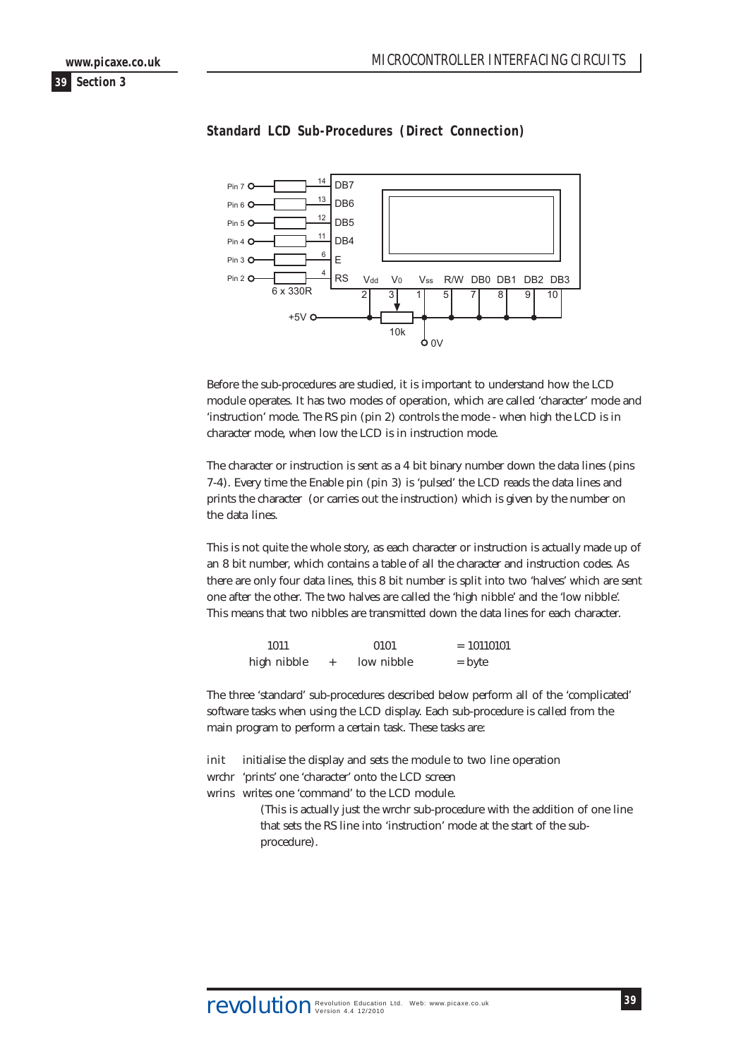<span id="page-38-0"></span>



#### **Standard LCD Sub-Procedures (Direct Connection)**

Before the sub-procedures are studied, it is important to understand how the LCD module operates. It has two modes of operation, which are called 'character' mode and 'instruction' mode. The RS pin (pin 2) controls the mode - when high the LCD is in character mode, when low the LCD is in instruction mode.

The character or instruction is sent as a 4 bit binary number down the data lines (pins 7-4). Every time the Enable pin (pin 3) is 'pulsed' the LCD reads the data lines and prints the character (or carries out the instruction) which is given by the number on the data lines.

This is not quite the whole story, as each character or instruction is actually made up of an 8 bit number, which contains a table of all the character and instruction codes. As there are only four data lines, this 8 bit number is split into two 'halves' which are sent one after the other. The two halves are called the 'high nibble' and the 'low nibble'. This means that two nibbles are transmitted down the data lines for each character.

| 1011        | 0101       | $= 10110101$ |
|-------------|------------|--------------|
| high nibble | low nibble | $=$ byte     |

The three 'standard' sub-procedures described below perform all of the 'complicated' software tasks when using the LCD display. Each sub-procedure is called from the main program to perform a certain task. These tasks are:

init initialise the display and sets the module to two line operation wrchr 'prints' one 'character' onto the LCD screen wrins writes one 'command' to the LCD module. (This is actually just the wrchr sub-procedure with the addition of one line that sets the RS line into 'instruction' mode at the start of the sub-

procedure).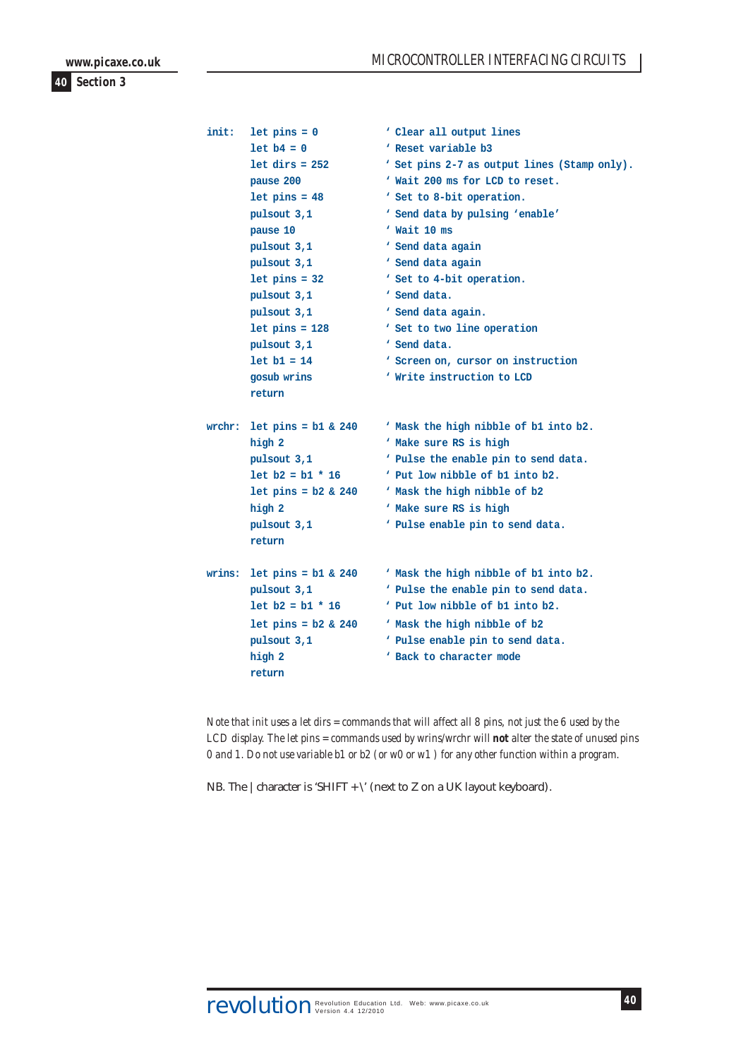| init: | $let pins = 0$               | ' Clear all output lines                     |
|-------|------------------------------|----------------------------------------------|
|       | $let b4 = 0$                 | ' Reset variable b3                          |
|       | $let$ $dirs = 252$           | ' Set pins 2-7 as output lines (Stamp only). |
|       | pause 200                    | ' Wait 200 ms for LCD to reset.              |
|       | $let pins = 48$              | ' Set to 8-bit operation.                    |
|       | pulsout 3,1                  | ' Send data by pulsing 'enable'              |
|       | pause 10                     | Wait 10 ms                                   |
|       | pulsout 3,1                  | ' Send data again                            |
|       | pulsout 3,1                  | ' Send data again                            |
|       | $let pins = 32$              | ' Set to 4-bit operation.                    |
|       | pulsout 3,1                  | ' Send data.                                 |
|       | pulsout 3,1                  | ' Send data again.                           |
|       | $let pins = 128$             | ' Set to two line operation                  |
|       | pulsout 3,1                  | ' Send data.                                 |
|       | $let b1 = 14$                | ' Screen on, cursor on instruction           |
|       | gosub wrins                  | ' Write instruction to LCD                   |
|       | return                       |                                              |
|       | wrchr: let pins = $b1 & 240$ | ' Mask the high nibble of b1 into b2.        |
|       | high 2                       | ' Make sure RS is high                       |
|       | pulsout 3,1                  | ' Pulse the enable pin to send data.         |
|       | $let b2 = b1 * 16$           | Put low nibble of b1 into b2.                |
|       | $let pins = b2 & 240$        | ' Mask the high nibble of b2                 |
|       | high 2                       | ' Make sure RS is high                       |
|       | pulsout 3,1                  | ' Pulse enable pin to send data.             |
|       | return                       |                                              |
|       | wrins: let pins = $b1 & 240$ | ' Mask the high nibble of b1 into b2.        |
|       | pulsout 3,1                  | ' Pulse the enable pin to send data.         |
|       | $let b2 = b1 * 16$           | Put low nibble of b1 into b2.                |
|       | $let pins = b2 & 240$        | ' Mask the high nibble of b2                 |
|       | pulsout 3,1                  | ' Pulse enable pin to send data.             |
|       | high 2                       | ' Back to character mode                     |
|       | return                       |                                              |

*Note that init uses a let dirs = commands that will affect all 8 pins, not just the 6 used by the LCD display. The let pins = commands used by wrins/wrchr will not alter the state of unused pins 0 and 1. Do not use variable b1 or b2 (or w0 or w1 ) for any other function within a program.*

NB. The  $|$  character is 'SHIFT +  $\vee$ ' (next to Z on a UK layout keyboard).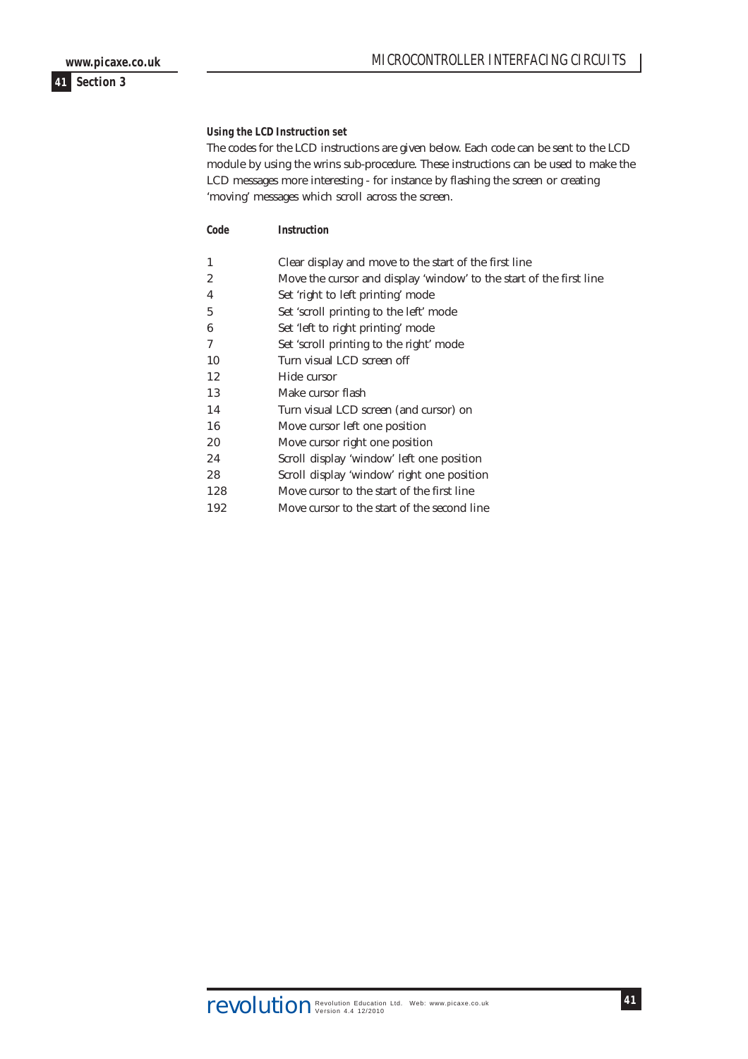**Using the LCD Instruction set**

The codes for the LCD instructions are given below. Each code can be sent to the LCD module by using the wrins sub-procedure. These instructions can be used to make the LCD messages more interesting - for instance by flashing the screen or creating 'moving' messages which scroll across the screen.

**Code Instruction**

| Clear display and move to the start of the first line |
|-------------------------------------------------------|
|-------------------------------------------------------|

- 2 Move the cursor and display 'window' to the start of the first line
- 4 Set 'right to left printing' mode
- 5 Set 'scroll printing to the left' mode
- 6 Set 'left to right printing' mode
- 7 Set 'scroll printing to the right' mode
- 10 Turn visual LCD screen off
- 12 Hide cursor
- 13 Make cursor flash
- 14 Turn visual LCD screen (and cursor) on
- 16 Move cursor left one position
- 20 Move cursor right one position
- 24 Scroll display 'window' left one position
- 28 Scroll display 'window' right one position
- 128 Move cursor to the start of the first line
- 192 Move cursor to the start of the second line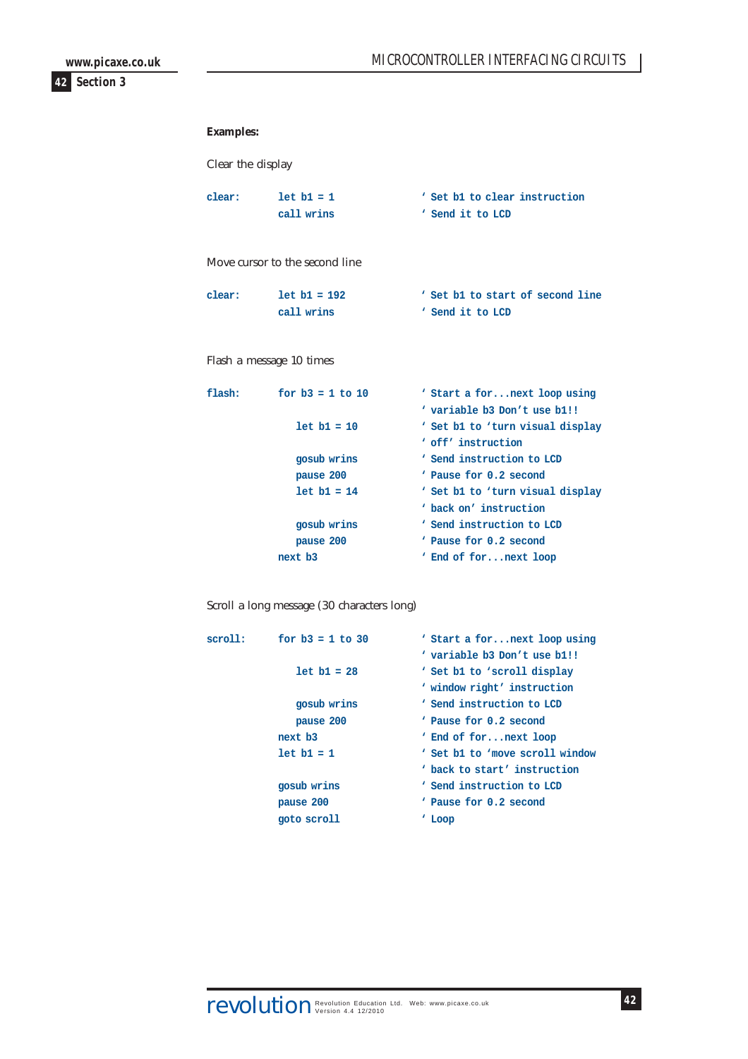#### **Examples:**

Clear the display

| clear: | $let b1 = 1$ | ' Set b1 to clear instruction |
|--------|--------------|-------------------------------|
|        | call wrins   | ' Send it to LCD              |

#### Move cursor to the second line

| clear: | $let b1 = 192$ | ' Set b1 to start of second line |
|--------|----------------|----------------------------------|
|        | call wrins     | ' Send it to LCD                 |

#### Flash a message 10 times

| flash: | for $b3 = 1$ to 10 | ' Start a for next loop using    |
|--------|--------------------|----------------------------------|
|        |                    | ' variable b3 Don't use b1!!     |
|        | $let b1 = 10$      | ' Set b1 to 'turn visual display |
|        |                    | ' off' instruction               |
|        | gosub wrins        | ' Send instruction to LCD        |
|        | pause 200          | Pause for 0.2 second             |
|        | $let b1 = 14$      | ' Set b1 to 'turn visual display |
|        |                    | back on' instruction             |
|        | gosub wrins        | ' Send instruction to LCD        |
|        | pause 200          | Pause for 0.2 second             |
|        | next b3            | ' End of fornext loop            |
|        |                    |                                  |

#### Scroll a long message (30 characters long)

| scroll: | for $b3 = 1$ to 30 | ' Start a for next loop using   |
|---------|--------------------|---------------------------------|
|         |                    | ' variable b3 Don't use b1!!    |
|         | $let b1 = 28$      | ' Set b1 to 'scroll display     |
|         |                    | ' window right' instruction     |
|         | gosub wrins        | ' Send instruction to LCD       |
|         | pause 200          | Pause for 0.2 second            |
|         | next b3            | ' End of fornext loop           |
|         | $let b1 = 1$       | ' Set b1 to 'move scroll window |
|         |                    | back to start' instruction      |
|         | gosub wrins        | ' Send instruction to LCD       |
|         | pause 200          | Pause for 0.2 second            |
|         | goto scroll        | 'Loop                           |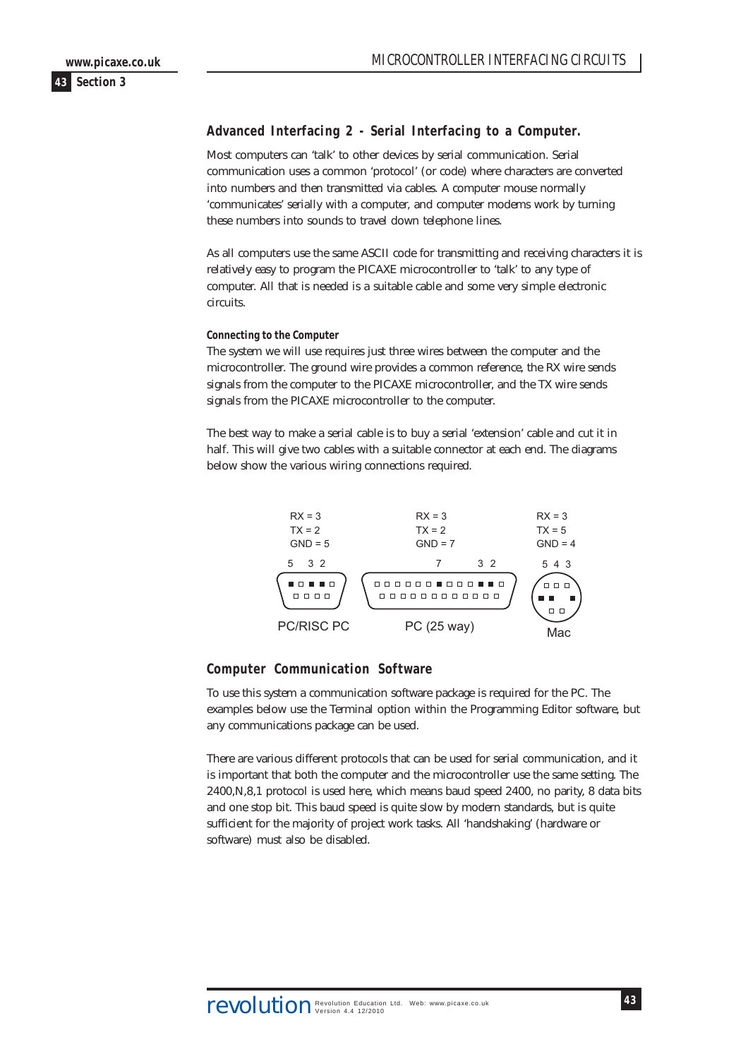# <span id="page-42-0"></span>**Advanced Interfacing 2 - Serial Interfacing to a Computer.**

Most computers can 'talk' to other devices by serial communication. Serial communication uses a common 'protocol' (or code) where characters are converted into numbers and then transmitted via cables. A computer mouse normally 'communicates' serially with a computer, and computer modems work by turning these numbers into sounds to travel down telephone lines.

As all computers use the same ASCII code for transmitting and receiving characters it is relatively easy to program the PICAXE microcontroller to 'talk' to any type of computer. All that is needed is a suitable cable and some very simple electronic circuits.

#### **Connecting to the Computer**

The system we will use requires just three wires between the computer and the microcontroller. The ground wire provides a common reference, the RX wire sends signals from the computer to the PICAXE microcontroller, and the TX wire sends signals from the PICAXE microcontroller to the computer.

The best way to make a serial cable is to buy a serial 'extension' cable and cut it in half. This will give two cables with a suitable connector at each end. The diagrams below show the various wiring connections required.



#### **Computer Communication Software**

To use this system a communication software package is required for the PC. The examples below use the Terminal option within the Programming Editor software, but any communications package can be used.

There are various different protocols that can be used for serial communication, and it is important that both the computer and the microcontroller use the same setting. The 2400,N,8,1 protocol is used here, which means baud speed 2400, no parity, 8 data bits and one stop bit. This baud speed is quite slow by modern standards, but is quite sufficient for the majority of project work tasks. All 'handshaking' (hardware or software) must also be disabled.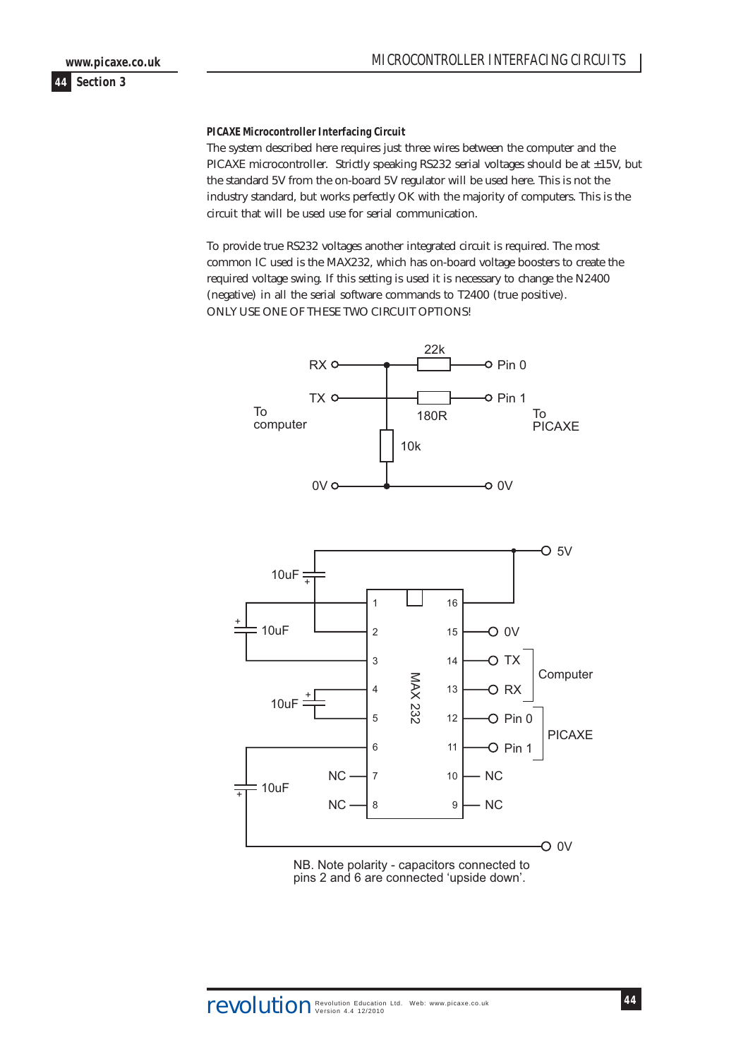**PICAXE Microcontroller Interfacing Circuit**

The system described here requires just three wires between the computer and the PICAXE microcontroller. Strictly speaking RS232 serial voltages should be at ±15V, but the standard 5V from the on-board 5V regulator will be used here. This is not the industry standard, but works perfectly OK with the majority of computers. This is the circuit that will be used use for serial communication.

To provide true RS232 voltages another integrated circuit is required. The most common IC used is the MAX232, which has on-board voltage boosters to create the required voltage swing. If this setting is used it is necessary to change the N2400 (negative) in all the serial software commands to T2400 (true positive). ONLY USE ONE OF THESE TWO CIRCUIT OPTIONS!



NB. Note polarity - capacitors connected to pins 2 and 6 are connected 'upside down'.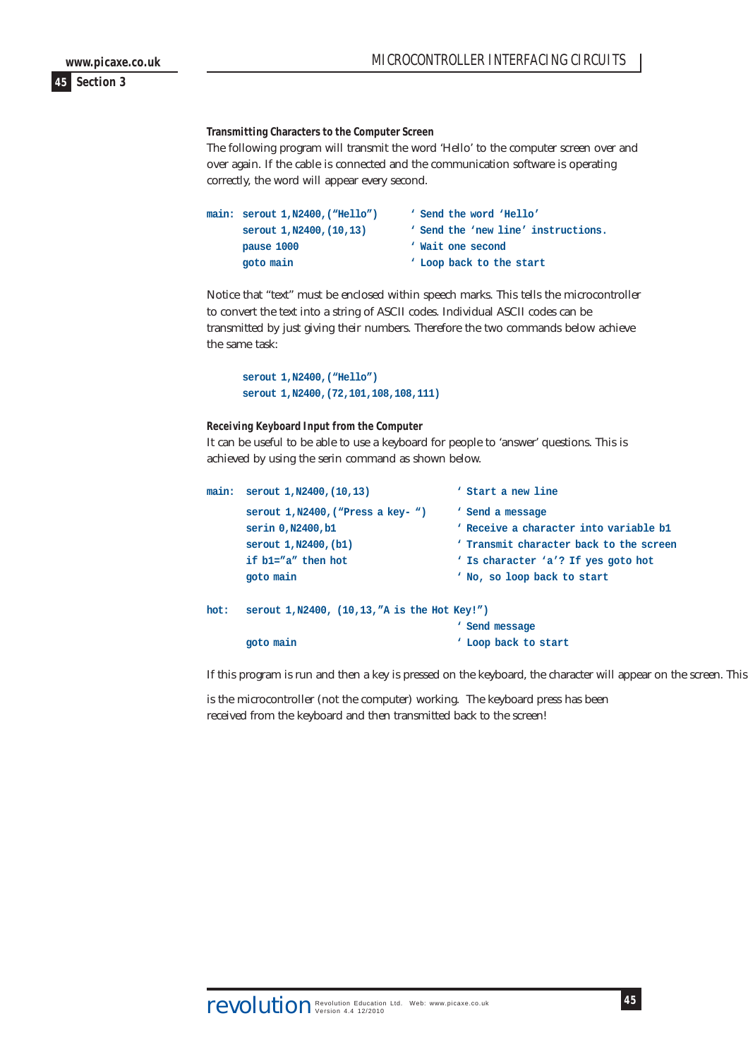**Transmitting Characters to the Computer Screen**

The following program will transmit the word 'Hello' to the computer screen over and over again. If the cable is connected and the communication software is operating correctly, the word will appear every second.

| main: serout 1, N2400, ("Hello") | ' Send the word 'Hello'             |
|----------------------------------|-------------------------------------|
| serout 1, N2400, (10, 13)        | ' Send the 'new line' instructions. |
| pause 1000                       | ' Wait one second                   |
| goto main                        | ' Loop back to the start            |

Notice that "text" must be enclosed within speech marks. This tells the microcontroller to convert the text into a string of ASCII codes. Individual ASCII codes can be transmitted by just giving their numbers. Therefore the two commands below achieve the same task:

**serout 1,N2400,("Hello") serout 1,N2400,(72,101,108,108,111)**

**Receiving Keyboard Input from the Computer**

It can be useful to be able to use a keyboard for people to 'answer' questions. This is achieved by using the serin command as shown below.

```
main: serout 1,N2400,(10,13) ' Start a new line
     serout 1,N2400,("Press a key- ") ' Send a message
     serin 0,N2400,b1 b Receive a character into variable b1
     serout 1,N2400,(b1) ' Transmit character back to the screen
     if b1="a" then hot ' Is character 'a'? If yes goto hot
     goto main ' No, so loop back to start
hot: serout 1,N2400, (10,13,"A is the Hot Key!")
                                 ' Send message
     goto main ' Loop back to start
```
If this program is run and then a key is pressed on the keyboard, the character will appear on the screen. This

is the microcontroller (not the computer) working. The keyboard press has been received from the keyboard and then transmitted back to the screen!